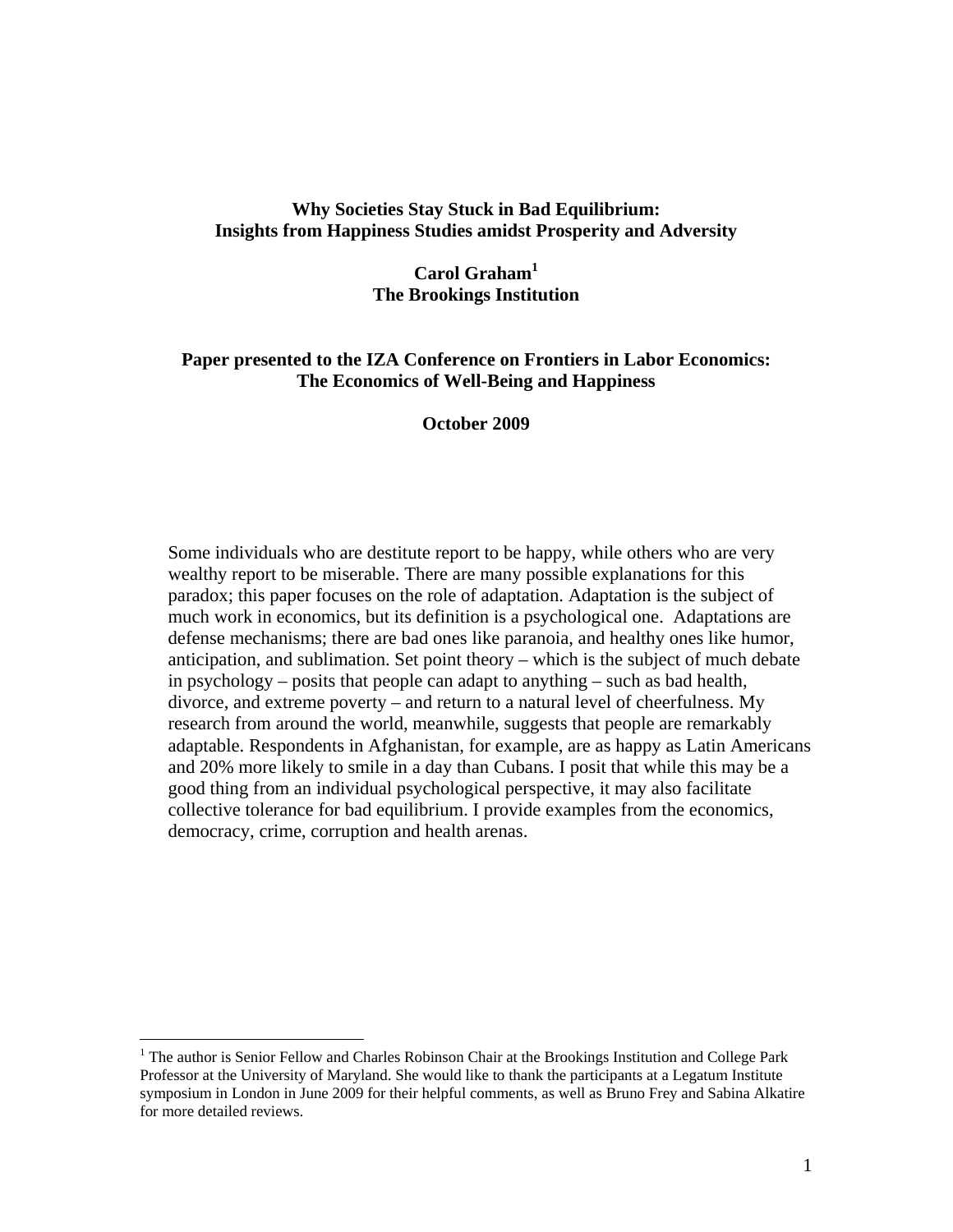## **Why Societies Stay Stuck in Bad Equilibrium: Insights from Happiness Studies amidst Prosperity and Adversity**

**Carol Graham<sup>1</sup> The Brookings Institution** 

## **Paper presented to the IZA Conference on Frontiers in Labor Economics: The Economics of Well-Being and Happiness**

**October 2009** 

Some individuals who are destitute report to be happy, while others who are very wealthy report to be miserable. There are many possible explanations for this paradox; this paper focuses on the role of adaptation. Adaptation is the subject of much work in economics, but its definition is a psychological one. Adaptations are defense mechanisms; there are bad ones like paranoia, and healthy ones like humor, anticipation, and sublimation. Set point theory – which is the subject of much debate in psychology – posits that people can adapt to anything – such as bad health, divorce, and extreme poverty – and return to a natural level of cheerfulness. My research from around the world, meanwhile, suggests that people are remarkably adaptable. Respondents in Afghanistan, for example, are as happy as Latin Americans and 20% more likely to smile in a day than Cubans. I posit that while this may be a good thing from an individual psychological perspective, it may also facilitate collective tolerance for bad equilibrium. I provide examples from the economics, democracy, crime, corruption and health arenas.

<sup>&</sup>lt;sup>1</sup> The author is Senior Fellow and Charles Robinson Chair at the Brookings Institution and College Park Professor at the University of Maryland. She would like to thank the participants at a Legatum Institute symposium in London in June 2009 for their helpful comments, as well as Bruno Frey and Sabina Alkatire for more detailed reviews.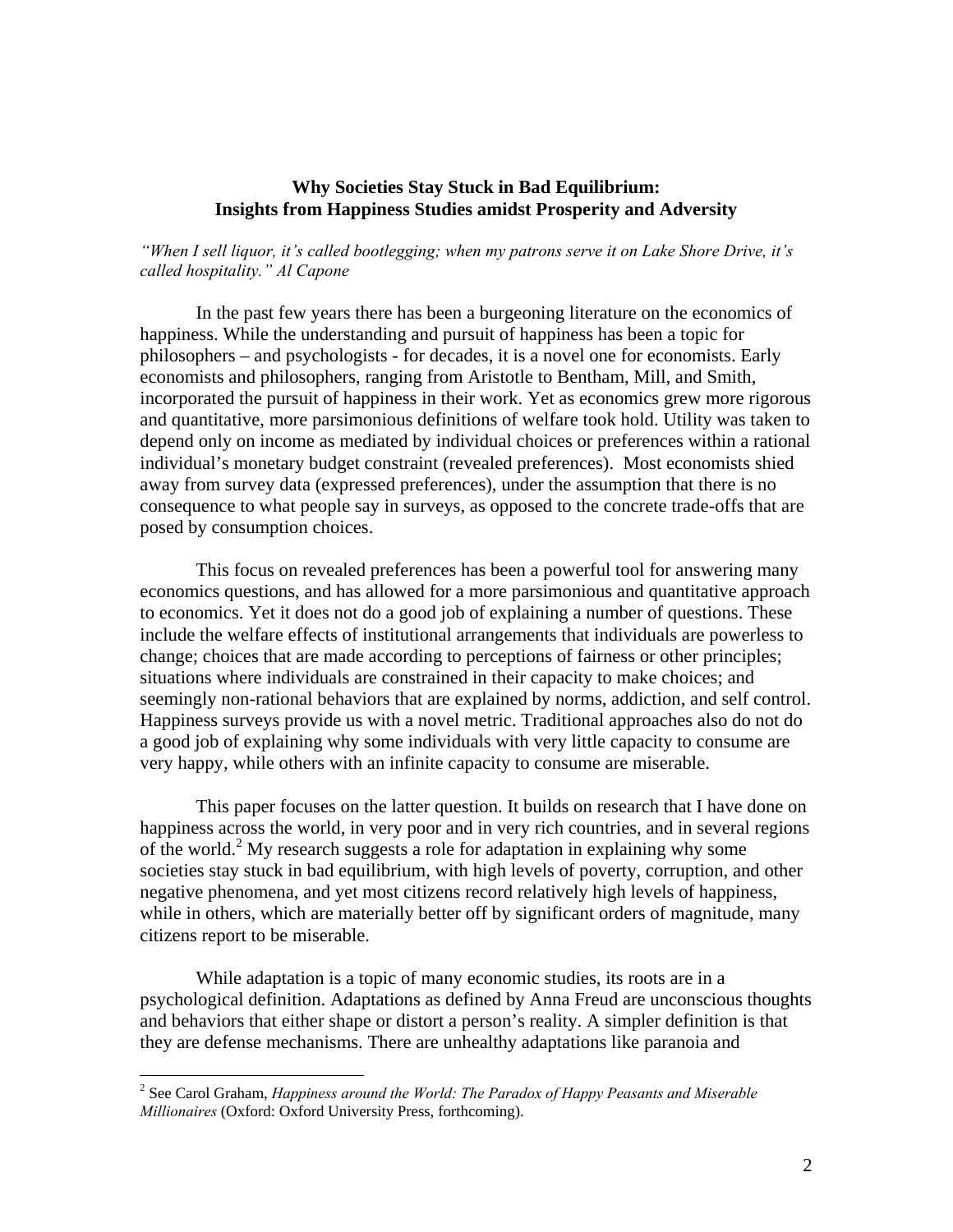### **Why Societies Stay Stuck in Bad Equilibrium: Insights from Happiness Studies amidst Prosperity and Adversity**

#### *"When I sell liquor, it's called bootlegging; when my patrons serve it on Lake Shore Drive, it's called hospitality." Al Capone*

In the past few years there has been a burgeoning literature on the economics of happiness. While the understanding and pursuit of happiness has been a topic for philosophers – and psychologists - for decades, it is a novel one for economists. Early economists and philosophers, ranging from Aristotle to Bentham, Mill, and Smith, incorporated the pursuit of happiness in their work. Yet as economics grew more rigorous and quantitative, more parsimonious definitions of welfare took hold. Utility was taken to depend only on income as mediated by individual choices or preferences within a rational individual's monetary budget constraint (revealed preferences). Most economists shied away from survey data (expressed preferences), under the assumption that there is no consequence to what people say in surveys, as opposed to the concrete trade-offs that are posed by consumption choices.

This focus on revealed preferences has been a powerful tool for answering many economics questions, and has allowed for a more parsimonious and quantitative approach to economics. Yet it does not do a good job of explaining a number of questions. These include the welfare effects of institutional arrangements that individuals are powerless to change; choices that are made according to perceptions of fairness or other principles; situations where individuals are constrained in their capacity to make choices; and seemingly non-rational behaviors that are explained by norms, addiction, and self control. Happiness surveys provide us with a novel metric. Traditional approaches also do not do a good job of explaining why some individuals with very little capacity to consume are very happy, while others with an infinite capacity to consume are miserable.

This paper focuses on the latter question. It builds on research that I have done on happiness across the world, in very poor and in very rich countries, and in several regions of the world.<sup>2</sup> My research suggests a role for adaptation in explaining why some societies stay stuck in bad equilibrium, with high levels of poverty, corruption, and other negative phenomena, and yet most citizens record relatively high levels of happiness, while in others, which are materially better off by significant orders of magnitude, many citizens report to be miserable.

While adaptation is a topic of many economic studies, its roots are in a psychological definition. Adaptations as defined by Anna Freud are unconscious thoughts and behaviors that either shape or distort a person's reality. A simpler definition is that they are defense mechanisms. There are unhealthy adaptations like paranoia and

 2 See Carol Graham, *Happiness around the World: The Paradox of Happy Peasants and Miserable Millionaires* (Oxford: Oxford University Press, forthcoming).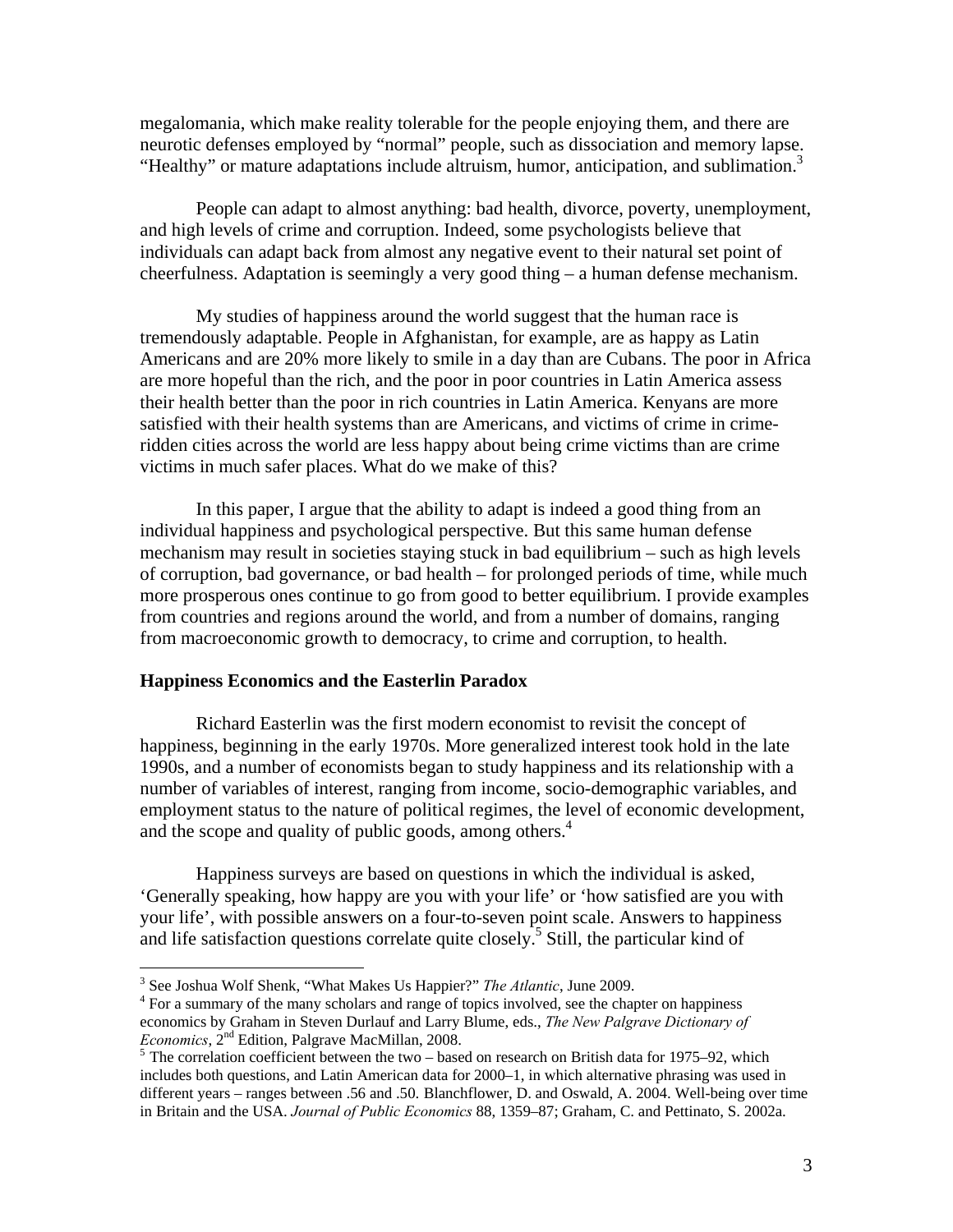megalomania, which make reality tolerable for the people enjoying them, and there are neurotic defenses employed by "normal" people, such as dissociation and memory lapse. "Healthy" or mature adaptations include altruism, humor, anticipation, and sublimation.<sup>3</sup>

People can adapt to almost anything: bad health, divorce, poverty, unemployment, and high levels of crime and corruption. Indeed, some psychologists believe that individuals can adapt back from almost any negative event to their natural set point of cheerfulness. Adaptation is seemingly a very good thing – a human defense mechanism.

My studies of happiness around the world suggest that the human race is tremendously adaptable. People in Afghanistan, for example, are as happy as Latin Americans and are 20% more likely to smile in a day than are Cubans. The poor in Africa are more hopeful than the rich, and the poor in poor countries in Latin America assess their health better than the poor in rich countries in Latin America. Kenyans are more satisfied with their health systems than are Americans, and victims of crime in crimeridden cities across the world are less happy about being crime victims than are crime victims in much safer places. What do we make of this?

In this paper, I argue that the ability to adapt is indeed a good thing from an individual happiness and psychological perspective. But this same human defense mechanism may result in societies staying stuck in bad equilibrium – such as high levels of corruption, bad governance, or bad health – for prolonged periods of time, while much more prosperous ones continue to go from good to better equilibrium. I provide examples from countries and regions around the world, and from a number of domains, ranging from macroeconomic growth to democracy, to crime and corruption, to health.

#### **Happiness Economics and the Easterlin Paradox**

 $\overline{a}$ 

Richard Easterlin was the first modern economist to revisit the concept of happiness, beginning in the early 1970s. More generalized interest took hold in the late 1990s, and a number of economists began to study happiness and its relationship with a number of variables of interest, ranging from income, socio-demographic variables, and employment status to the nature of political regimes, the level of economic development, and the scope and quality of public goods, among others.<sup>4</sup>

Happiness surveys are based on questions in which the individual is asked, 'Generally speaking, how happy are you with your life' or 'how satisfied are you with your life', with possible answers on a four-to-seven point scale. Answers to happiness and life satisfaction questions correlate quite closely.<sup>5</sup> Still, the particular kind of

<sup>&</sup>lt;sup>3</sup> See Joshua Wolf Shenk, "What Makes Us Happier?" *The Atlantic*, June 2009.

<sup>&</sup>lt;sup>4</sup> For a summary of the many scholars and range of topics involved, see the chapter on happiness economics by Graham in Steven Durlauf and Larry Blume, eds., *The New Palgrave Dictionary of Economics*,  $2^{nd}$  Edition, Palgrave MacMillan, 2008.<br><sup>5</sup> The correlation coefficient between the two – based on research on British data for 1975–92, which

includes both questions, and Latin American data for 2000–1, in which alternative phrasing was used in different years – ranges between .56 and .50. Blanchflower, D. and Oswald, A. 2004. Well-being over time in Britain and the USA. *Journal of Public Economics* 88, 1359–87; Graham, C. and Pettinato, S. 2002a.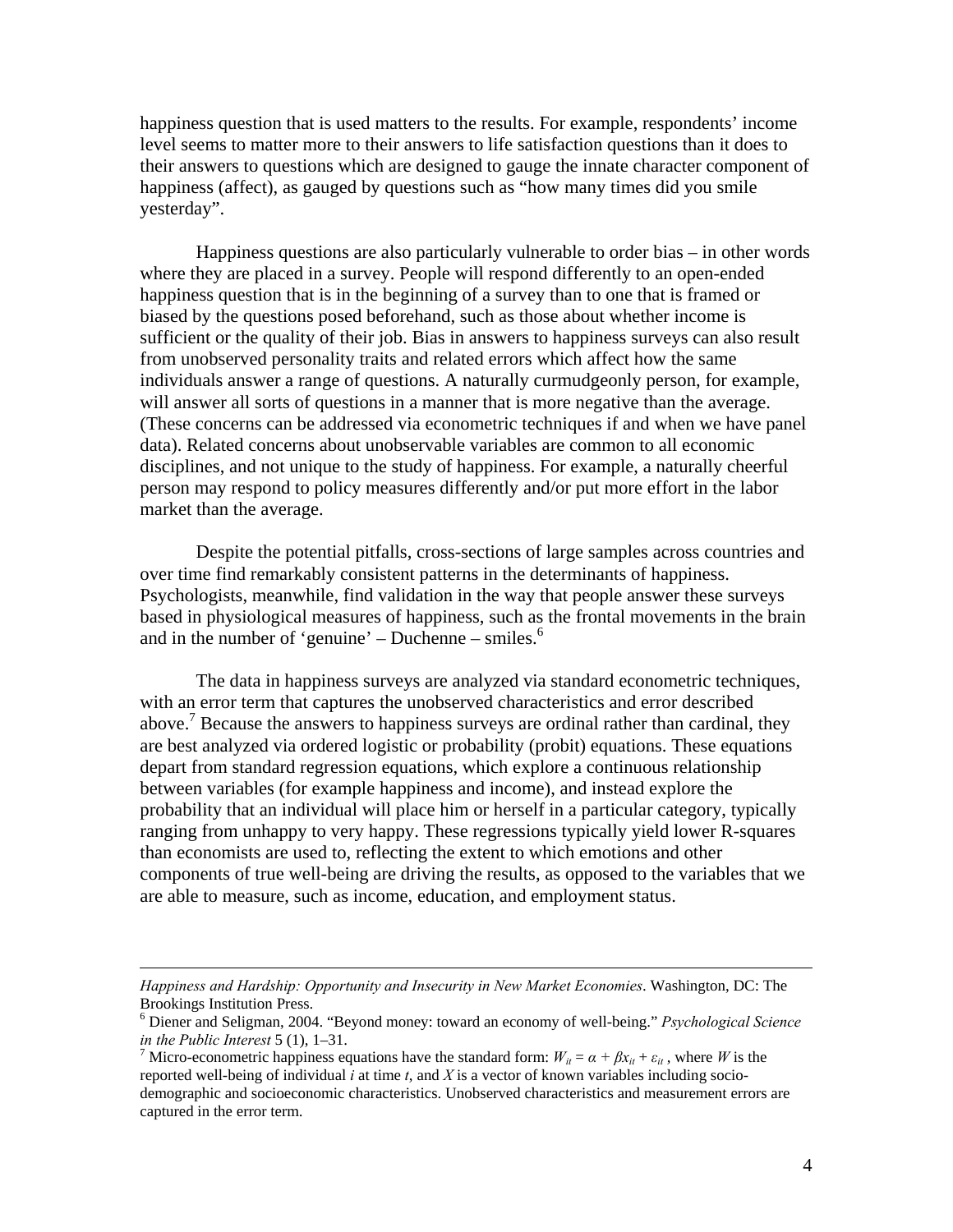happiness question that is used matters to the results. For example, respondents' income level seems to matter more to their answers to life satisfaction questions than it does to their answers to questions which are designed to gauge the innate character component of happiness (affect), as gauged by questions such as "how many times did you smile yesterday".

Happiness questions are also particularly vulnerable to order bias – in other words where they are placed in a survey. People will respond differently to an open-ended happiness question that is in the beginning of a survey than to one that is framed or biased by the questions posed beforehand, such as those about whether income is sufficient or the quality of their job. Bias in answers to happiness surveys can also result from unobserved personality traits and related errors which affect how the same individuals answer a range of questions. A naturally curmudgeonly person, for example, will answer all sorts of questions in a manner that is more negative than the average. (These concerns can be addressed via econometric techniques if and when we have panel data). Related concerns about unobservable variables are common to all economic disciplines, and not unique to the study of happiness. For example, a naturally cheerful person may respond to policy measures differently and/or put more effort in the labor market than the average.

Despite the potential pitfalls, cross-sections of large samples across countries and over time find remarkably consistent patterns in the determinants of happiness. Psychologists, meanwhile, find validation in the way that people answer these surveys based in physiological measures of happiness, such as the frontal movements in the brain and in the number of 'genuine' – Duchenne – smiles. $<sup>6</sup>$ </sup>

The data in happiness surveys are analyzed via standard econometric techniques, with an error term that captures the unobserved characteristics and error described above.<sup>7</sup> Because the answers to happiness surveys are ordinal rather than cardinal, they are best analyzed via ordered logistic or probability (probit) equations. These equations depart from standard regression equations, which explore a continuous relationship between variables (for example happiness and income), and instead explore the probability that an individual will place him or herself in a particular category, typically ranging from unhappy to very happy. These regressions typically yield lower R-squares than economists are used to, reflecting the extent to which emotions and other components of true well-being are driving the results, as opposed to the variables that we are able to measure, such as income, education, and employment status.

1

*Happiness and Hardship: Opportunity and Insecurity in New Market Economies*. Washington, DC: The Brookings Institution Press.

<sup>6</sup> Diener and Seligman, 2004. "Beyond money: toward an economy of well-being." *Psychological Science in the Public Interest* 5 (1), 1–31.

<sup>&</sup>lt;sup>7</sup> Micro-econometric happiness equations have the standard form:  $W_{it} = \alpha + \beta x_{it} + \varepsilon_{it}$ , where *W* is the reported well-being of individual *i* at time *t*, and *X* is a vector of known variables including sociodemographic and socioeconomic characteristics. Unobserved characteristics and measurement errors are captured in the error term.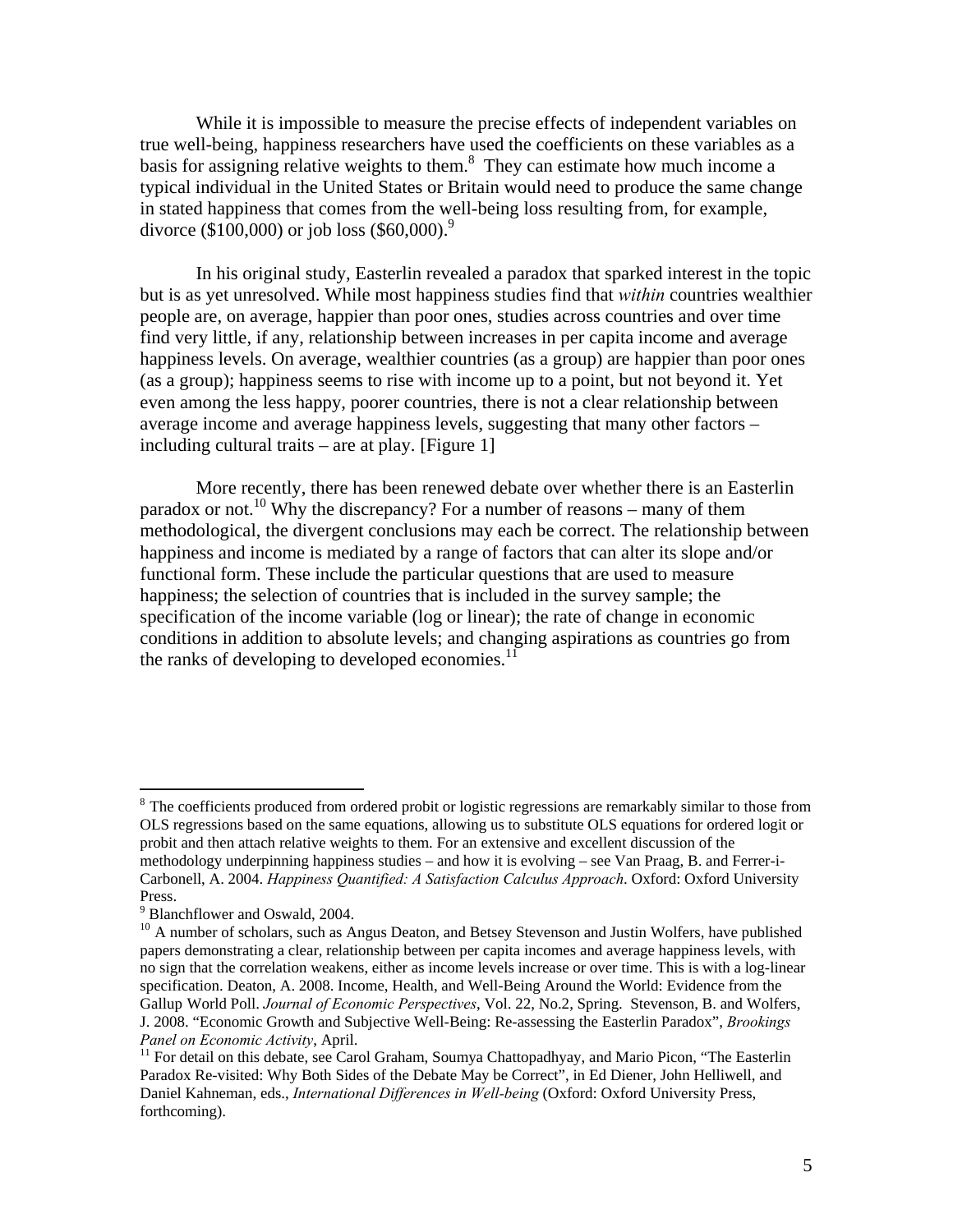While it is impossible to measure the precise effects of independent variables on true well-being, happiness researchers have used the coefficients on these variables as a basis for assigning relative weights to them.<sup>8</sup> They can estimate how much income a typical individual in the United States or Britain would need to produce the same change in stated happiness that comes from the well-being loss resulting from, for example, divorce (\$100,000) or job loss (\$60,000).<sup>9</sup>

 In his original study, Easterlin revealed a paradox that sparked interest in the topic but is as yet unresolved. While most happiness studies find that *within* countries wealthier people are, on average, happier than poor ones, studies across countries and over time find very little, if any, relationship between increases in per capita income and average happiness levels. On average, wealthier countries (as a group) are happier than poor ones (as a group); happiness seems to rise with income up to a point, but not beyond it. Yet even among the less happy, poorer countries, there is not a clear relationship between average income and average happiness levels, suggesting that many other factors – including cultural traits – are at play. [Figure 1]

More recently, there has been renewed debate over whether there is an Easterlin paradox or not.<sup>10</sup> Why the discrepancy? For a number of reasons – many of them methodological, the divergent conclusions may each be correct. The relationship between happiness and income is mediated by a range of factors that can alter its slope and/or functional form. These include the particular questions that are used to measure happiness; the selection of countries that is included in the survey sample; the specification of the income variable (log or linear); the rate of change in economic conditions in addition to absolute levels; and changing aspirations as countries go from the ranks of developing to developed economies. $^{11}$ 

<sup>&</sup>lt;sup>8</sup> The coefficients produced from ordered probit or logistic regressions are remarkably similar to those from OLS regressions based on the same equations, allowing us to substitute OLS equations for ordered logit or probit and then attach relative weights to them. For an extensive and excellent discussion of the methodology underpinning happiness studies – and how it is evolving – see Van Praag, B. and Ferrer-i-Carbonell, A. 2004. *Happiness Quantified: A Satisfaction Calculus Approach*. Oxford: Oxford University Press.

<sup>&</sup>lt;sup>9</sup> Blanchflower and Oswald, 2004.

<sup>&</sup>lt;sup>10</sup> A number of scholars, such as Angus Deaton, and Betsey Stevenson and Justin Wolfers, have published papers demonstrating a clear, relationship between per capita incomes and average happiness levels, with no sign that the correlation weakens, either as income levels increase or over time. This is with a log-linear specification. Deaton, A. 2008. Income, Health, and Well-Being Around the World: Evidence from the Gallup World Poll. *Journal of Economic Perspectives*, Vol. 22, No.2, Spring. Stevenson, B. and Wolfers, J. 2008. "Economic Growth and Subjective Well-Being: Re-assessing the Easterlin Paradox", *Brookings Panel on Economic Activity*, April.<br><sup>11</sup> For detail on this debate, see Carol Graham, Soumya Chattopadhyay, and Mario Picon, "The Easterlin

Paradox Re-visited: Why Both Sides of the Debate May be Correct", in Ed Diener, John Helliwell, and Daniel Kahneman, eds., *International Differences in Well-being* (Oxford: Oxford University Press, forthcoming).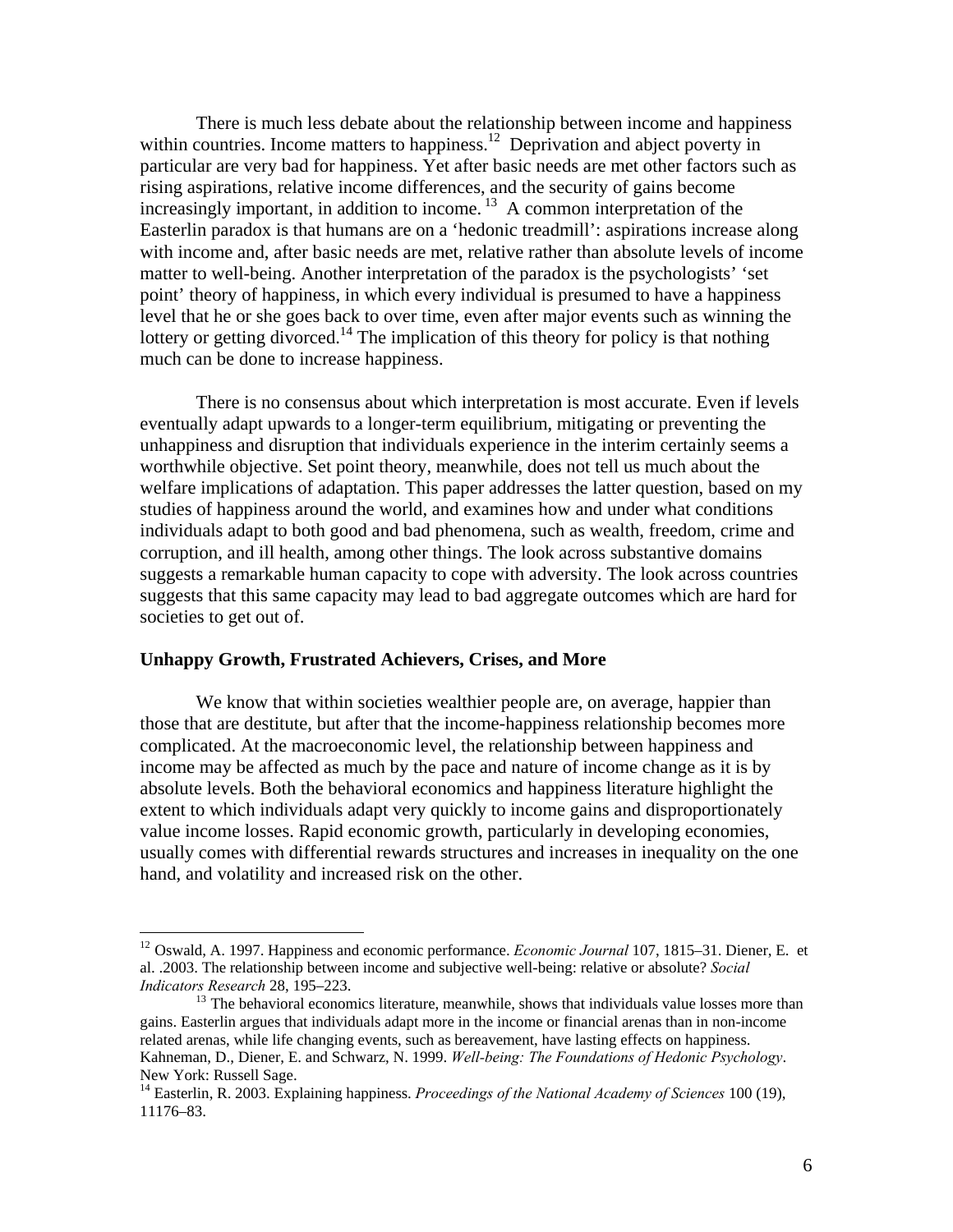There is much less debate about the relationship between income and happiness within countries. Income matters to happiness.<sup>12</sup> Deprivation and abject poverty in particular are very bad for happiness. Yet after basic needs are met other factors such as rising aspirations, relative income differences, and the security of gains become increasingly important, in addition to income.  $13$  A common interpretation of the Easterlin paradox is that humans are on a 'hedonic treadmill': aspirations increase along with income and, after basic needs are met, relative rather than absolute levels of income matter to well-being. Another interpretation of the paradox is the psychologists' 'set point' theory of happiness, in which every individual is presumed to have a happiness level that he or she goes back to over time, even after major events such as winning the lottery or getting divorced.<sup>14</sup> The implication of this theory for policy is that nothing much can be done to increase happiness.

There is no consensus about which interpretation is most accurate. Even if levels eventually adapt upwards to a longer-term equilibrium, mitigating or preventing the unhappiness and disruption that individuals experience in the interim certainly seems a worthwhile objective. Set point theory, meanwhile, does not tell us much about the welfare implications of adaptation. This paper addresses the latter question, based on my studies of happiness around the world, and examines how and under what conditions individuals adapt to both good and bad phenomena, such as wealth, freedom, crime and corruption, and ill health, among other things. The look across substantive domains suggests a remarkable human capacity to cope with adversity. The look across countries suggests that this same capacity may lead to bad aggregate outcomes which are hard for societies to get out of.

#### **Unhappy Growth, Frustrated Achievers, Crises, and More**

 $\overline{a}$ 

We know that within societies wealthier people are, on average, happier than those that are destitute, but after that the income-happiness relationship becomes more complicated. At the macroeconomic level, the relationship between happiness and income may be affected as much by the pace and nature of income change as it is by absolute levels. Both the behavioral economics and happiness literature highlight the extent to which individuals adapt very quickly to income gains and disproportionately value income losses. Rapid economic growth, particularly in developing economies, usually comes with differential rewards structures and increases in inequality on the one hand, and volatility and increased risk on the other.

<sup>12</sup> Oswald, A. 1997. Happiness and economic performance. *Economic Journal* 107, 1815–31. Diener, E. et al. .2003. The relationship between income and subjective well-being: relative or absolute? *Social Indicators Research* 28, 195–223.<br><sup>13</sup> The behavioral economics literature, meanwhile, shows that individuals value losses more than

gains. Easterlin argues that individuals adapt more in the income or financial arenas than in non-income related arenas, while life changing events, such as bereavement, have lasting effects on happiness. Kahneman, D., Diener, E. and Schwarz, N. 1999. *Well-being: The Foundations of Hedonic Psychology*. New York: Russell Sage.

<sup>&</sup>lt;sup>14</sup> Easterlin, R. 2003. Explaining happiness. *Proceedings of the National Academy of Sciences* 100 (19), 11176–83.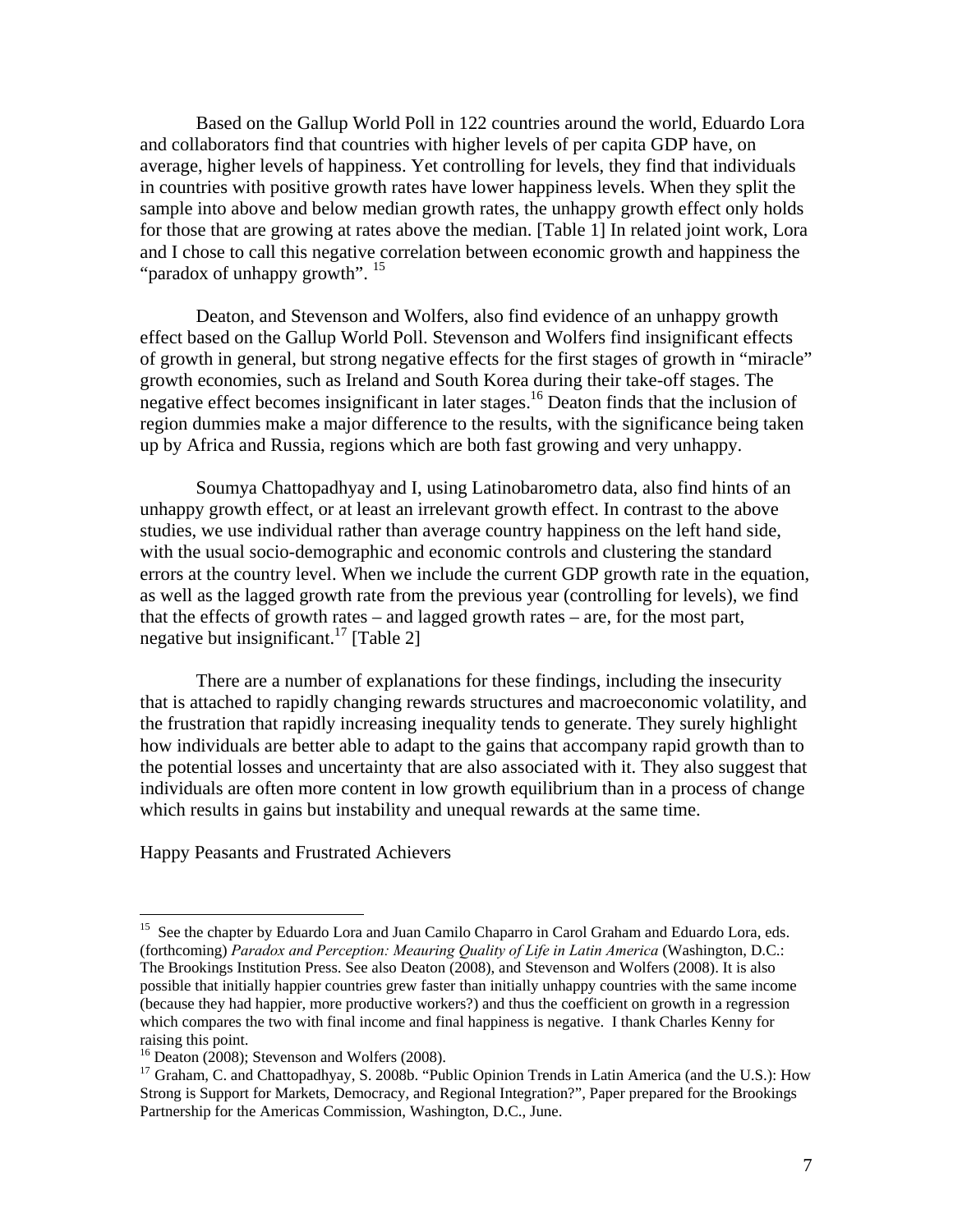Based on the Gallup World Poll in 122 countries around the world, Eduardo Lora and collaborators find that countries with higher levels of per capita GDP have, on average, higher levels of happiness. Yet controlling for levels, they find that individuals in countries with positive growth rates have lower happiness levels. When they split the sample into above and below median growth rates, the unhappy growth effect only holds for those that are growing at rates above the median. [Table 1] In related joint work, Lora and I chose to call this negative correlation between economic growth and happiness the "paradox of unhappy growth". <sup>15</sup>

 Deaton, and Stevenson and Wolfers, also find evidence of an unhappy growth effect based on the Gallup World Poll. Stevenson and Wolfers find insignificant effects of growth in general, but strong negative effects for the first stages of growth in "miracle" growth economies, such as Ireland and South Korea during their take-off stages. The negative effect becomes insignificant in later stages.<sup>16</sup> Deaton finds that the inclusion of region dummies make a major difference to the results, with the significance being taken up by Africa and Russia, regions which are both fast growing and very unhappy.

Soumya Chattopadhyay and I, using Latinobarometro data, also find hints of an unhappy growth effect, or at least an irrelevant growth effect. In contrast to the above studies, we use individual rather than average country happiness on the left hand side, with the usual socio-demographic and economic controls and clustering the standard errors at the country level. When we include the current GDP growth rate in the equation, as well as the lagged growth rate from the previous year (controlling for levels), we find that the effects of growth rates – and lagged growth rates – are, for the most part, negative but insignificant.<sup>17</sup> [Table 2]

There are a number of explanations for these findings, including the insecurity that is attached to rapidly changing rewards structures and macroeconomic volatility, and the frustration that rapidly increasing inequality tends to generate. They surely highlight how individuals are better able to adapt to the gains that accompany rapid growth than to the potential losses and uncertainty that are also associated with it. They also suggest that individuals are often more content in low growth equilibrium than in a process of change which results in gains but instability and unequal rewards at the same time.

Happy Peasants and Frustrated Achievers

<sup>&</sup>lt;sup>15</sup> See the chapter by Eduardo Lora and Juan Camilo Chaparro in Carol Graham and Eduardo Lora, eds. (forthcoming) *Paradox and Perception: Meauring Quality of Life in Latin America* (Washington, D.C.: The Brookings Institution Press. See also Deaton (2008), and Stevenson and Wolfers (2008). It is also possible that initially happier countries grew faster than initially unhappy countries with the same income (because they had happier, more productive workers?) and thus the coefficient on growth in a regression which compares the two with final income and final happiness is negative. I thank Charles Kenny for raising this point.<br><sup>16</sup> Deaton (2008); Stevenson and Wolfers (2008).

<sup>&</sup>lt;sup>17</sup> Graham, C. and Chattopadhyay, S. 2008b. "Public Opinion Trends in Latin America (and the U.S.): How Strong is Support for Markets, Democracy, and Regional Integration?", Paper prepared for the Brookings Partnership for the Americas Commission, Washington, D.C., June.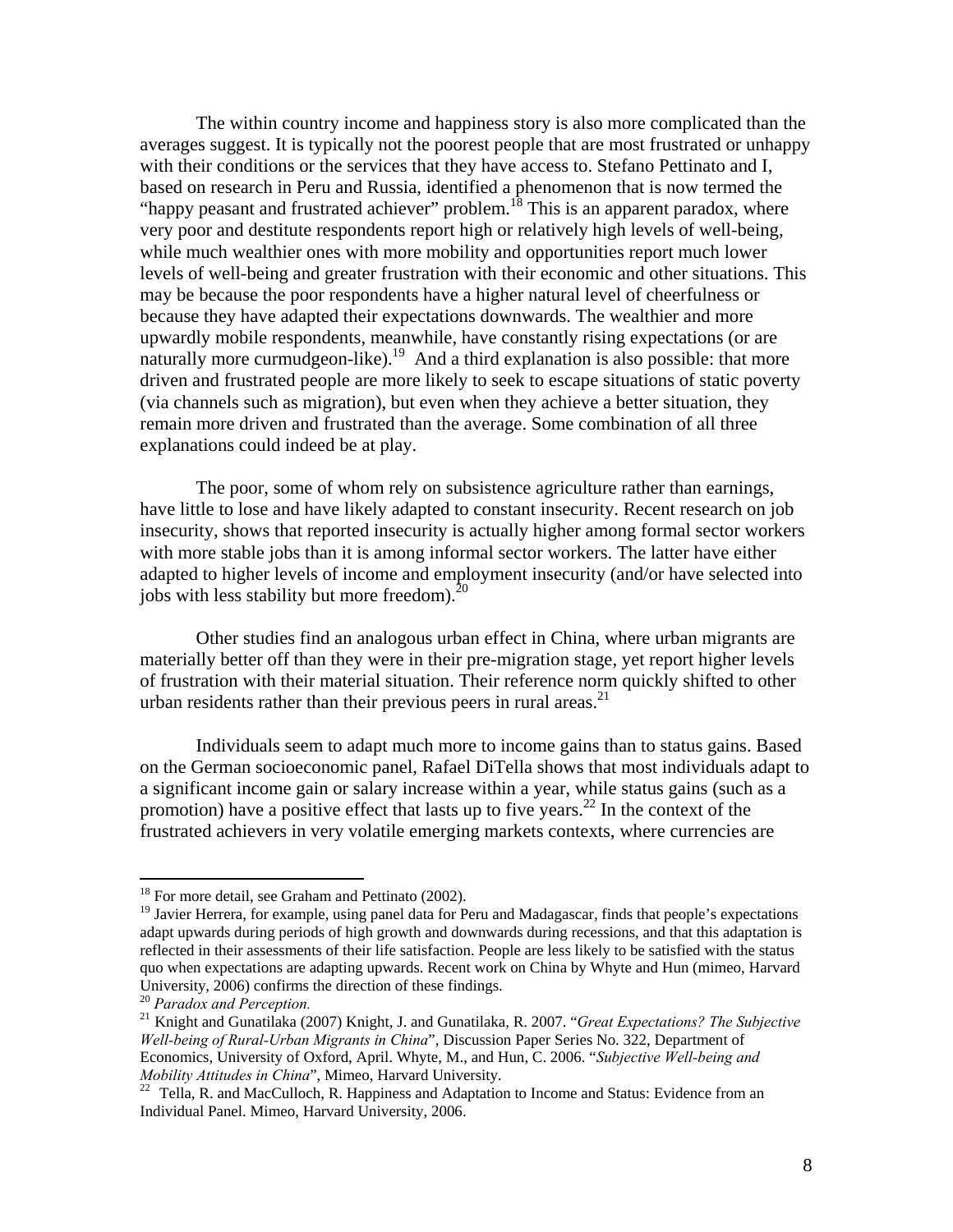The within country income and happiness story is also more complicated than the averages suggest. It is typically not the poorest people that are most frustrated or unhappy with their conditions or the services that they have access to. Stefano Pettinato and I, based on research in Peru and Russia, identified a phenomenon that is now termed the "happy peasant and frustrated achiever" problem.<sup>18</sup> This is an apparent paradox, where very poor and destitute respondents report high or relatively high levels of well-being, while much wealthier ones with more mobility and opportunities report much lower levels of well-being and greater frustration with their economic and other situations. This may be because the poor respondents have a higher natural level of cheerfulness or because they have adapted their expectations downwards. The wealthier and more upwardly mobile respondents, meanwhile, have constantly rising expectations (or are naturally movement corporations, included a third explanation is also possible: that more driven and frustrated people are more likely to seek to escape situations of static poverty (via channels such as migration), but even when they achieve a better situation, they remain more driven and frustrated than the average. Some combination of all three explanations could indeed be at play.

The poor, some of whom rely on subsistence agriculture rather than earnings, have little to lose and have likely adapted to constant insecurity. Recent research on job insecurity, shows that reported insecurity is actually higher among formal sector workers with more stable jobs than it is among informal sector workers. The latter have either adapted to higher levels of income and employment insecurity (and/or have selected into jobs with less stability but more freedom). $^{20}$ 

Other studies find an analogous urban effect in China, where urban migrants are materially better off than they were in their pre-migration stage, yet report higher levels of frustration with their material situation. Their reference norm quickly shifted to other urban residents rather than their previous peers in rural areas.<sup>21</sup>

Individuals seem to adapt much more to income gains than to status gains. Based on the German socioeconomic panel, Rafael DiTella shows that most individuals adapt to a significant income gain or salary increase within a year, while status gains (such as a promotion) have a positive effect that lasts up to five years.<sup>22</sup> In the context of the frustrated achievers in very volatile emerging markets contexts, where currencies are

<sup>&</sup>lt;sup>18</sup> For more detail, see Graham and Pettinato (2002).

<sup>&</sup>lt;sup>19</sup> Javier Herrera, for example, using panel data for Peru and Madagascar, finds that people's expectations adapt upwards during periods of high growth and downwards during recessions, and that this adaptation is reflected in their assessments of their life satisfaction. People are less likely to be satisfied with the status quo when expectations are adapting upwards. Recent work on China by Whyte and Hun (mimeo, Harvard University, 2006) confirms the direction of these findings.<br><sup>20</sup> Paradox and Perception.

<sup>&</sup>lt;sup>21</sup> Knight and Gunatilaka (2007) Knight, J. and Gunatilaka, R. 2007. "*Great Expectations? The Subjective Well-being of Rural-Urban Migrants in China*", Discussion Paper Series No. 322, Department of Economics, University of Oxford, April. Whyte, M., and Hun, C. 2006. "*Subjective Well-being and Mobility Attitudes in China*", Mimeo, Harvard University.<br><sup>22</sup> Tella, R. and MacCulloch, R. Happiness and Adaptation to Income and Status: Evidence from an

Individual Panel. Mimeo, Harvard University, 2006.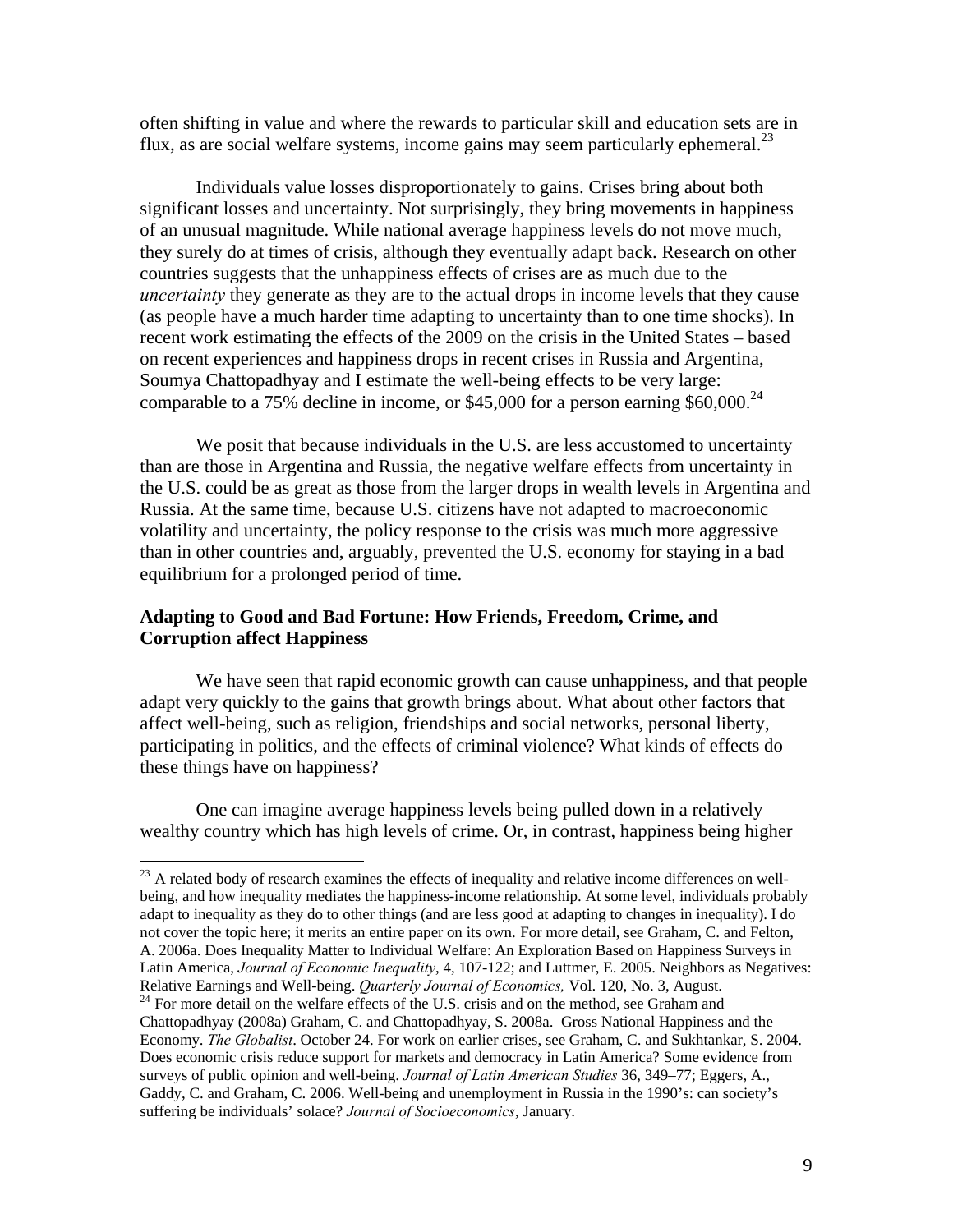often shifting in value and where the rewards to particular skill and education sets are in flux, as are social welfare systems, income gains may seem particularly ephemeral.<sup>23</sup>

Individuals value losses disproportionately to gains. Crises bring about both significant losses and uncertainty. Not surprisingly, they bring movements in happiness of an unusual magnitude. While national average happiness levels do not move much, they surely do at times of crisis, although they eventually adapt back. Research on other countries suggests that the unhappiness effects of crises are as much due to the *uncertainty* they generate as they are to the actual drops in income levels that they cause (as people have a much harder time adapting to uncertainty than to one time shocks). In recent work estimating the effects of the 2009 on the crisis in the United States – based on recent experiences and happiness drops in recent crises in Russia and Argentina, Soumya Chattopadhyay and I estimate the well-being effects to be very large: comparable to a 75% decline in income, or  $$45,000$  for a person earning  $$60,000.<sup>24</sup>$ 

We posit that because individuals in the U.S. are less accustomed to uncertainty than are those in Argentina and Russia, the negative welfare effects from uncertainty in the U.S. could be as great as those from the larger drops in wealth levels in Argentina and Russia. At the same time, because U.S. citizens have not adapted to macroeconomic volatility and uncertainty, the policy response to the crisis was much more aggressive than in other countries and, arguably, prevented the U.S. economy for staying in a bad equilibrium for a prolonged period of time.

## **Adapting to Good and Bad Fortune: How Friends, Freedom, Crime, and Corruption affect Happiness**

We have seen that rapid economic growth can cause unhappiness, and that people adapt very quickly to the gains that growth brings about. What about other factors that affect well-being, such as religion, friendships and social networks, personal liberty, participating in politics, and the effects of criminal violence? What kinds of effects do these things have on happiness?

One can imagine average happiness levels being pulled down in a relatively wealthy country which has high levels of crime. Or, in contrast, happiness being higher

 $23$  A related body of research examines the effects of inequality and relative income differences on wellbeing, and how inequality mediates the happiness-income relationship. At some level, individuals probably adapt to inequality as they do to other things (and are less good at adapting to changes in inequality). I do not cover the topic here; it merits an entire paper on its own. For more detail, see Graham, C. and Felton, A. 2006a. Does Inequality Matter to Individual Welfare: An Exploration Based on Happiness Surveys in Latin America, *Journal of Economic Inequality*, 4, 107-122; and Luttmer, E. 2005. Neighbors as Negatives: Relative Earnings and Well-being. *Quarterly Journal of Economics*, Vol. 120, No. 3, August.<br><sup>24</sup> For more detail on the welfare effects of the U.S. crisis and on the method, see Graham and

Chattopadhyay (2008a) Graham, C. and Chattopadhyay, S. 2008a. Gross National Happiness and the Economy. *The Globalist*. October 24. For work on earlier crises, see Graham, C. and Sukhtankar, S. 2004. Does economic crisis reduce support for markets and democracy in Latin America? Some evidence from surveys of public opinion and well-being. *Journal of Latin American Studies* 36, 349–77; Eggers, A., Gaddy, C. and Graham, C. 2006. Well-being and unemployment in Russia in the 1990's: can society's suffering be individuals' solace? *Journal of Socioeconomics*, January.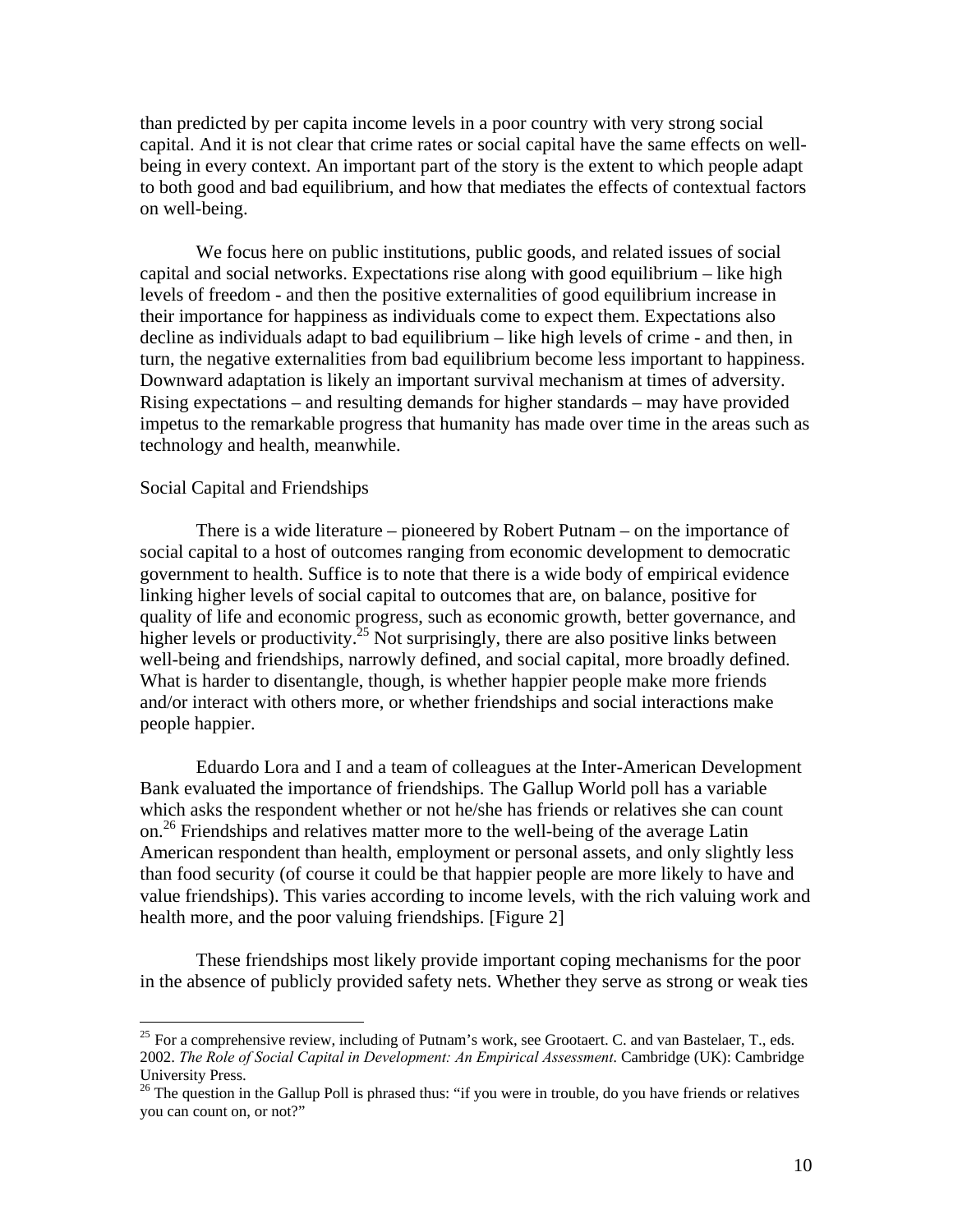than predicted by per capita income levels in a poor country with very strong social capital. And it is not clear that crime rates or social capital have the same effects on wellbeing in every context. An important part of the story is the extent to which people adapt to both good and bad equilibrium, and how that mediates the effects of contextual factors on well-being.

We focus here on public institutions, public goods, and related issues of social capital and social networks. Expectations rise along with good equilibrium – like high levels of freedom - and then the positive externalities of good equilibrium increase in their importance for happiness as individuals come to expect them. Expectations also decline as individuals adapt to bad equilibrium – like high levels of crime - and then, in turn, the negative externalities from bad equilibrium become less important to happiness. Downward adaptation is likely an important survival mechanism at times of adversity. Rising expectations – and resulting demands for higher standards – may have provided impetus to the remarkable progress that humanity has made over time in the areas such as technology and health, meanwhile.

#### Social Capital and Friendships

 $\overline{a}$ 

There is a wide literature – pioneered by Robert Putnam – on the importance of social capital to a host of outcomes ranging from economic development to democratic government to health. Suffice is to note that there is a wide body of empirical evidence linking higher levels of social capital to outcomes that are, on balance, positive for quality of life and economic progress, such as economic growth, better governance, and higher levels or productivity.<sup>25</sup> Not surprisingly, there are also positive links between well-being and friendships, narrowly defined, and social capital, more broadly defined. What is harder to disentangle, though, is whether happier people make more friends and/or interact with others more, or whether friendships and social interactions make people happier.

Eduardo Lora and I and a team of colleagues at the Inter-American Development Bank evaluated the importance of friendships. The Gallup World poll has a variable which asks the respondent whether or not he/she has friends or relatives she can count on.26 Friendships and relatives matter more to the well-being of the average Latin American respondent than health, employment or personal assets, and only slightly less than food security (of course it could be that happier people are more likely to have and value friendships). This varies according to income levels, with the rich valuing work and health more, and the poor valuing friendships. [Figure 2]

These friendships most likely provide important coping mechanisms for the poor in the absence of publicly provided safety nets. Whether they serve as strong or weak ties

<sup>&</sup>lt;sup>25</sup> For a comprehensive review, including of Putnam's work, see Grootaert. C. and van Bastelaer, T., eds. 2002. *The Role of Social Capital in Development: An Empirical Assessment*. Cambridge (UK): Cambridge University Press.

<sup>&</sup>lt;sup>26</sup> The question in the Gallup Poll is phrased thus: "if you were in trouble, do you have friends or relatives you can count on, or not?"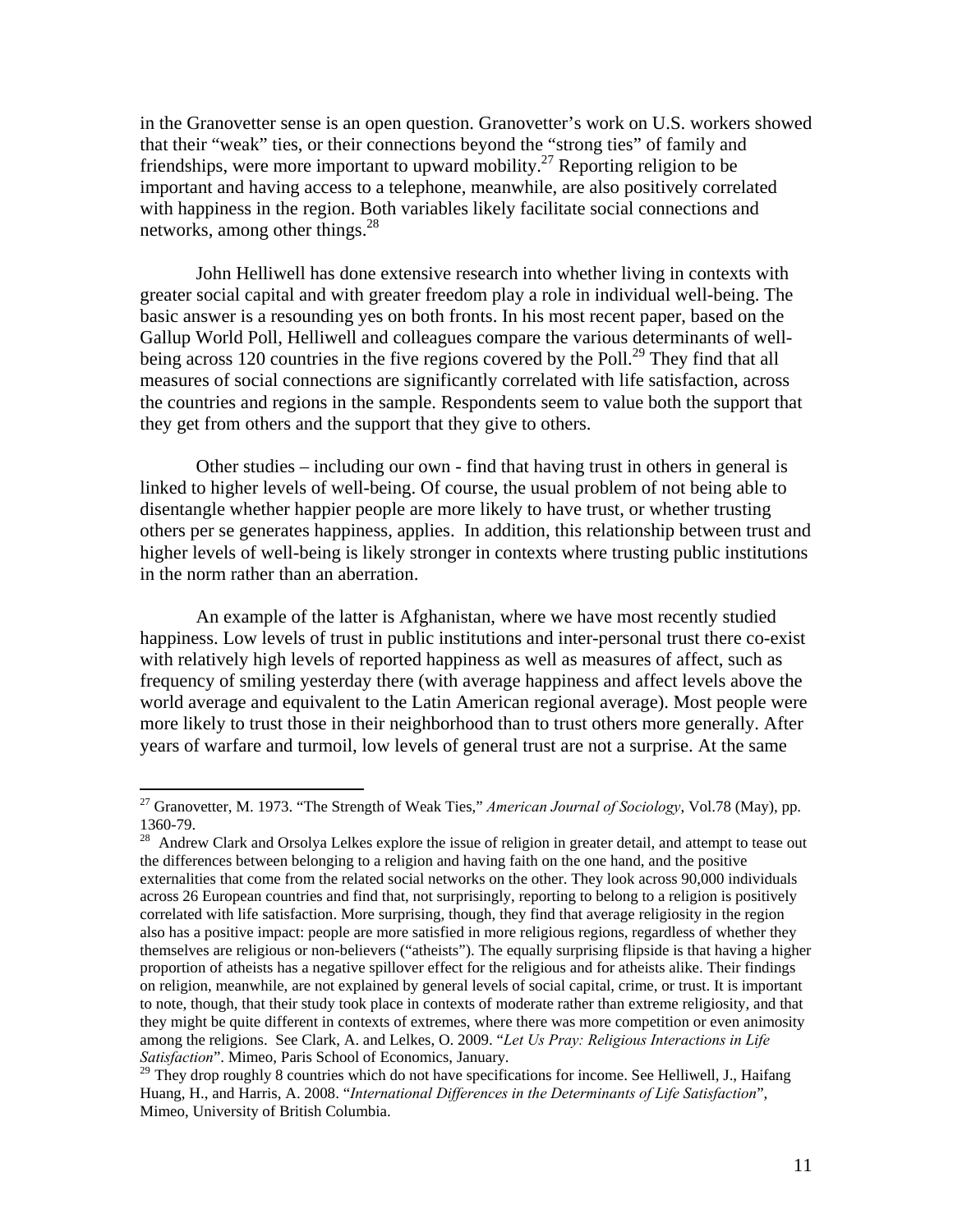in the Granovetter sense is an open question. Granovetter's work on U.S. workers showed that their "weak" ties, or their connections beyond the "strong ties" of family and friendships, were more important to upward mobility.<sup>27</sup> Reporting religion to be important and having access to a telephone, meanwhile, are also positively correlated with happiness in the region. Both variables likely facilitate social connections and networks, among other things.28

John Helliwell has done extensive research into whether living in contexts with greater social capital and with greater freedom play a role in individual well-being. The basic answer is a resounding yes on both fronts. In his most recent paper, based on the Gallup World Poll, Helliwell and colleagues compare the various determinants of wellbeing across 120 countries in the five regions covered by the Poll.<sup>29</sup> They find that all measures of social connections are significantly correlated with life satisfaction, across the countries and regions in the sample. Respondents seem to value both the support that they get from others and the support that they give to others.

Other studies – including our own - find that having trust in others in general is linked to higher levels of well-being. Of course, the usual problem of not being able to disentangle whether happier people are more likely to have trust, or whether trusting others per se generates happiness, applies. In addition, this relationship between trust and higher levels of well-being is likely stronger in contexts where trusting public institutions in the norm rather than an aberration.

An example of the latter is Afghanistan, where we have most recently studied happiness. Low levels of trust in public institutions and inter-personal trust there co-exist with relatively high levels of reported happiness as well as measures of affect, such as frequency of smiling yesterday there (with average happiness and affect levels above the world average and equivalent to the Latin American regional average). Most people were more likely to trust those in their neighborhood than to trust others more generally. After years of warfare and turmoil, low levels of general trust are not a surprise. At the same

<sup>27</sup> Granovetter, M. 1973. "The Strength of Weak Ties," *American Journal of Sociology*, Vol.78 (May), pp. 1360-79.

<sup>&</sup>lt;sup>28</sup> Andrew Clark and Orsolya Lelkes explore the issue of religion in greater detail, and attempt to tease out the differences between belonging to a religion and having faith on the one hand, and the positive externalities that come from the related social networks on the other. They look across 90,000 individuals across 26 European countries and find that, not surprisingly, reporting to belong to a religion is positively correlated with life satisfaction. More surprising, though, they find that average religiosity in the region also has a positive impact: people are more satisfied in more religious regions, regardless of whether they themselves are religious or non-believers ("atheists"). The equally surprising flipside is that having a higher proportion of atheists has a negative spillover effect for the religious and for atheists alike. Their findings on religion, meanwhile, are not explained by general levels of social capital, crime, or trust. It is important to note, though, that their study took place in contexts of moderate rather than extreme religiosity, and that they might be quite different in contexts of extremes, where there was more competition or even animosity among the religions. See Clark, A. and Lelkes, O. 2009. "*Let Us Pray: Religious Interactions in Life Satisfaction*". Mimeo, Paris School of Economics, January.

<sup>&</sup>lt;sup>29</sup> They drop roughly 8 countries which do not have specifications for income. See Helliwell, J., Haifang Huang, H., and Harris, A. 2008. "*International Differences in the Determinants of Life Satisfaction*", Mimeo, University of British Columbia.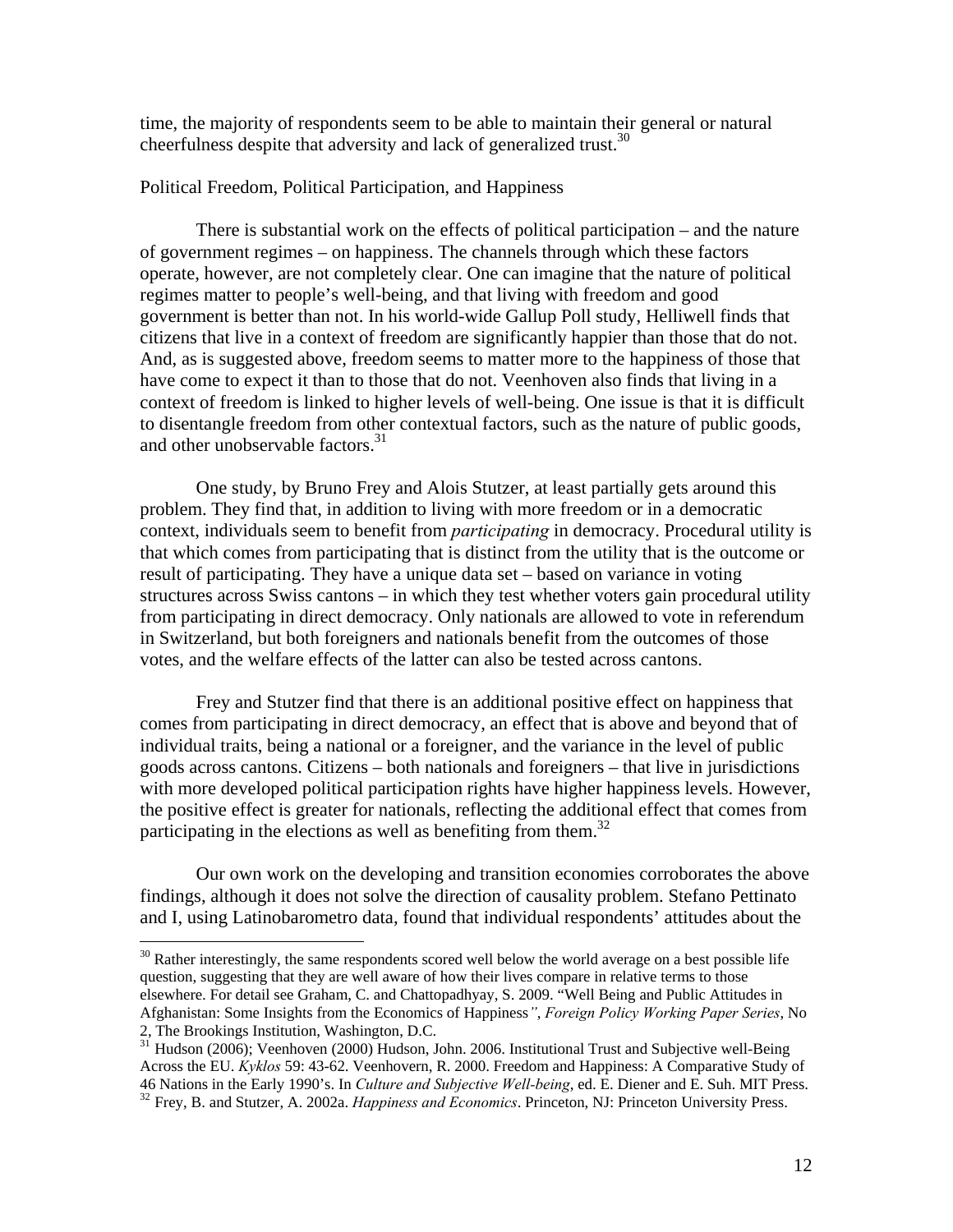time, the majority of respondents seem to be able to maintain their general or natural cheerfulness despite that adversity and lack of generalized trust.<sup>30</sup>

#### Political Freedom, Political Participation, and Happiness

There is substantial work on the effects of political participation – and the nature of government regimes – on happiness. The channels through which these factors operate, however, are not completely clear. One can imagine that the nature of political regimes matter to people's well-being, and that living with freedom and good government is better than not. In his world-wide Gallup Poll study, Helliwell finds that citizens that live in a context of freedom are significantly happier than those that do not. And, as is suggested above, freedom seems to matter more to the happiness of those that have come to expect it than to those that do not. Veenhoven also finds that living in a context of freedom is linked to higher levels of well-being. One issue is that it is difficult to disentangle freedom from other contextual factors, such as the nature of public goods, and other unobservable factors.<sup>31</sup>

One study, by Bruno Frey and Alois Stutzer, at least partially gets around this problem. They find that, in addition to living with more freedom or in a democratic context, individuals seem to benefit from *participating* in democracy. Procedural utility is that which comes from participating that is distinct from the utility that is the outcome or result of participating. They have a unique data set – based on variance in voting structures across Swiss cantons – in which they test whether voters gain procedural utility from participating in direct democracy. Only nationals are allowed to vote in referendum in Switzerland, but both foreigners and nationals benefit from the outcomes of those votes, and the welfare effects of the latter can also be tested across cantons.

Frey and Stutzer find that there is an additional positive effect on happiness that comes from participating in direct democracy, an effect that is above and beyond that of individual traits, being a national or a foreigner, and the variance in the level of public goods across cantons. Citizens – both nationals and foreigners – that live in jurisdictions with more developed political participation rights have higher happiness levels. However, the positive effect is greater for nationals, reflecting the additional effect that comes from participating in the elections as well as benefiting from them.32

 Our own work on the developing and transition economies corroborates the above findings, although it does not solve the direction of causality problem. Stefano Pettinato and I, using Latinobarometro data, found that individual respondents' attitudes about the

 $30$  Rather interestingly, the same respondents scored well below the world average on a best possible life question, suggesting that they are well aware of how their lives compare in relative terms to those elsewhere. For detail see Graham, C. and Chattopadhyay, S. 2009. "Well Being and Public Attitudes in Afghanistan: Some Insights from the Economics of Happiness*"*, *Foreign Policy Working Paper Series*, No 2, The Brookings Institution, Washington, D.C.

<sup>31</sup> Hudson (2006); Veenhoven (2000) Hudson, John. 2006. Institutional Trust and Subjective well-Being Across the EU. *Kyklos* 59: 43-62. Veenhovern, R. 2000. Freedom and Happiness: A Comparative Study of 46 Nations in the Early 1990's. In *Culture and Subjective Well-being*, ed. E. Diener and E. Suh. MIT Press. 46 Nations in the Early 1990's. In *Culture and Subjective Well-being*, ed. E. Diener and Economics. Princeton, NJ: Princeton University Press.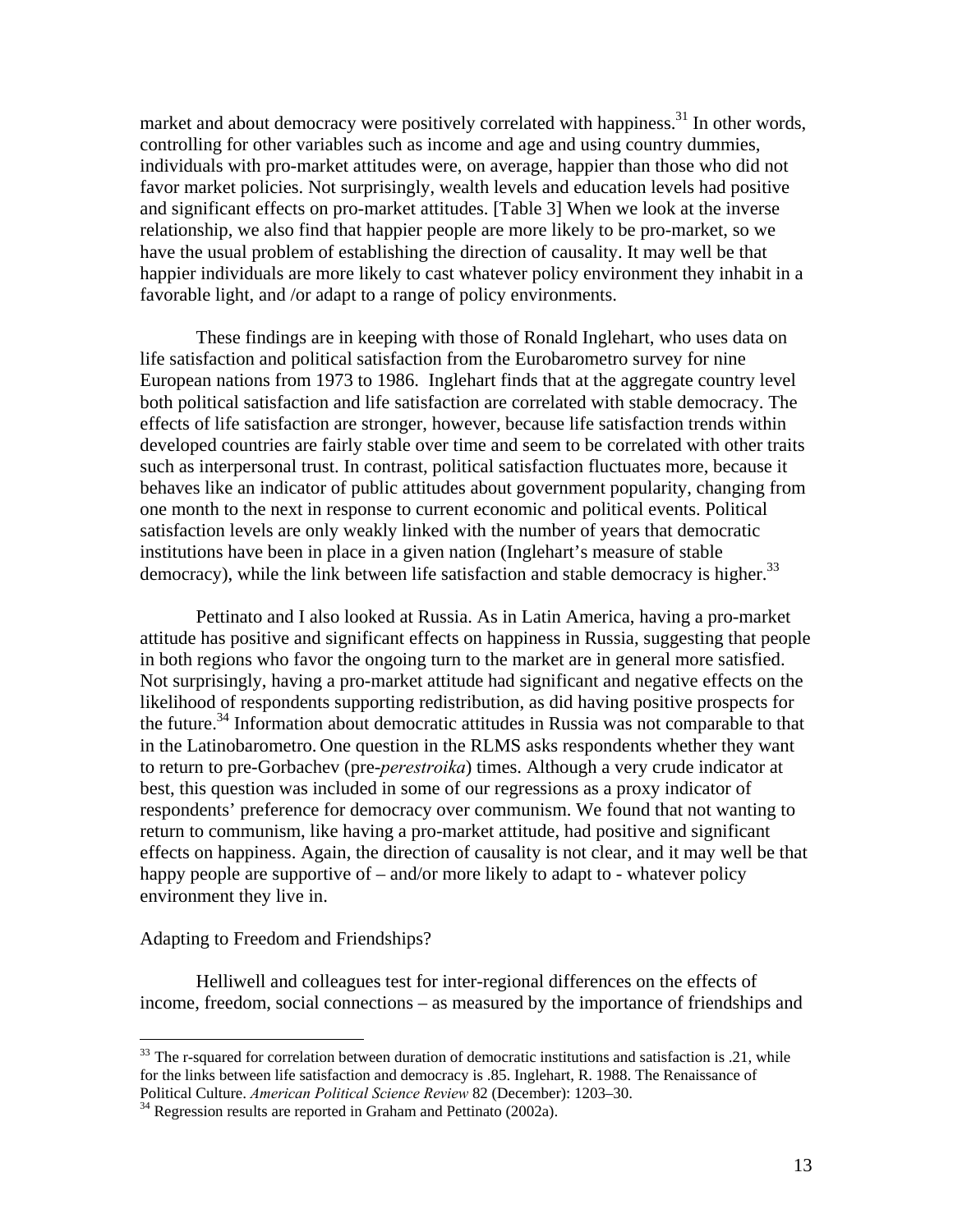market and about democracy were positively correlated with happiness.<sup>31</sup> In other words, controlling for other variables such as income and age and using country dummies, individuals with pro-market attitudes were, on average, happier than those who did not favor market policies. Not surprisingly, wealth levels and education levels had positive and significant effects on pro-market attitudes. [Table 3] When we look at the inverse relationship, we also find that happier people are more likely to be pro-market, so we have the usual problem of establishing the direction of causality. It may well be that happier individuals are more likely to cast whatever policy environment they inhabit in a favorable light, and /or adapt to a range of policy environments.

 These findings are in keeping with those of Ronald Inglehart, who uses data on life satisfaction and political satisfaction from the Eurobarometro survey for nine European nations from 1973 to 1986. Inglehart finds that at the aggregate country level both political satisfaction and life satisfaction are correlated with stable democracy. The effects of life satisfaction are stronger, however, because life satisfaction trends within developed countries are fairly stable over time and seem to be correlated with other traits such as interpersonal trust. In contrast, political satisfaction fluctuates more, because it behaves like an indicator of public attitudes about government popularity, changing from one month to the next in response to current economic and political events. Political satisfaction levels are only weakly linked with the number of years that democratic institutions have been in place in a given nation (Inglehart's measure of stable democracy), while the link between life satisfaction and stable democracy is higher.<sup>33</sup>

 Pettinato and I also looked at Russia. As in Latin America, having a pro-market attitude has positive and significant effects on happiness in Russia, suggesting that people in both regions who favor the ongoing turn to the market are in general more satisfied. Not surprisingly, having a pro-market attitude had significant and negative effects on the likelihood of respondents supporting redistribution, as did having positive prospects for the future.<sup>34</sup> Information about democratic attitudes in Russia was not comparable to that in the Latinobarometro. One question in the RLMS asks respondents whether they want to return to pre-Gorbachev (pre-*perestroika*) times. Although a very crude indicator at best, this question was included in some of our regressions as a proxy indicator of respondents' preference for democracy over communism. We found that not wanting to return to communism, like having a pro-market attitude, had positive and significant effects on happiness. Again, the direction of causality is not clear, and it may well be that happy people are supportive of – and/or more likely to adapt to - whatever policy environment they live in.

#### Adapting to Freedom and Friendships?

 $\overline{a}$ 

Helliwell and colleagues test for inter-regional differences on the effects of income, freedom, social connections – as measured by the importance of friendships and

 $33$  The r-squared for correlation between duration of democratic institutions and satisfaction is .21, while for the links between life satisfaction and democracy is .85. Inglehart, R. 1988. The Renaissance of Political Culture. *American Political Science Review* 82 (December): 1203–30. 34 Regression results are reported in Graham and Pettinato (2002a).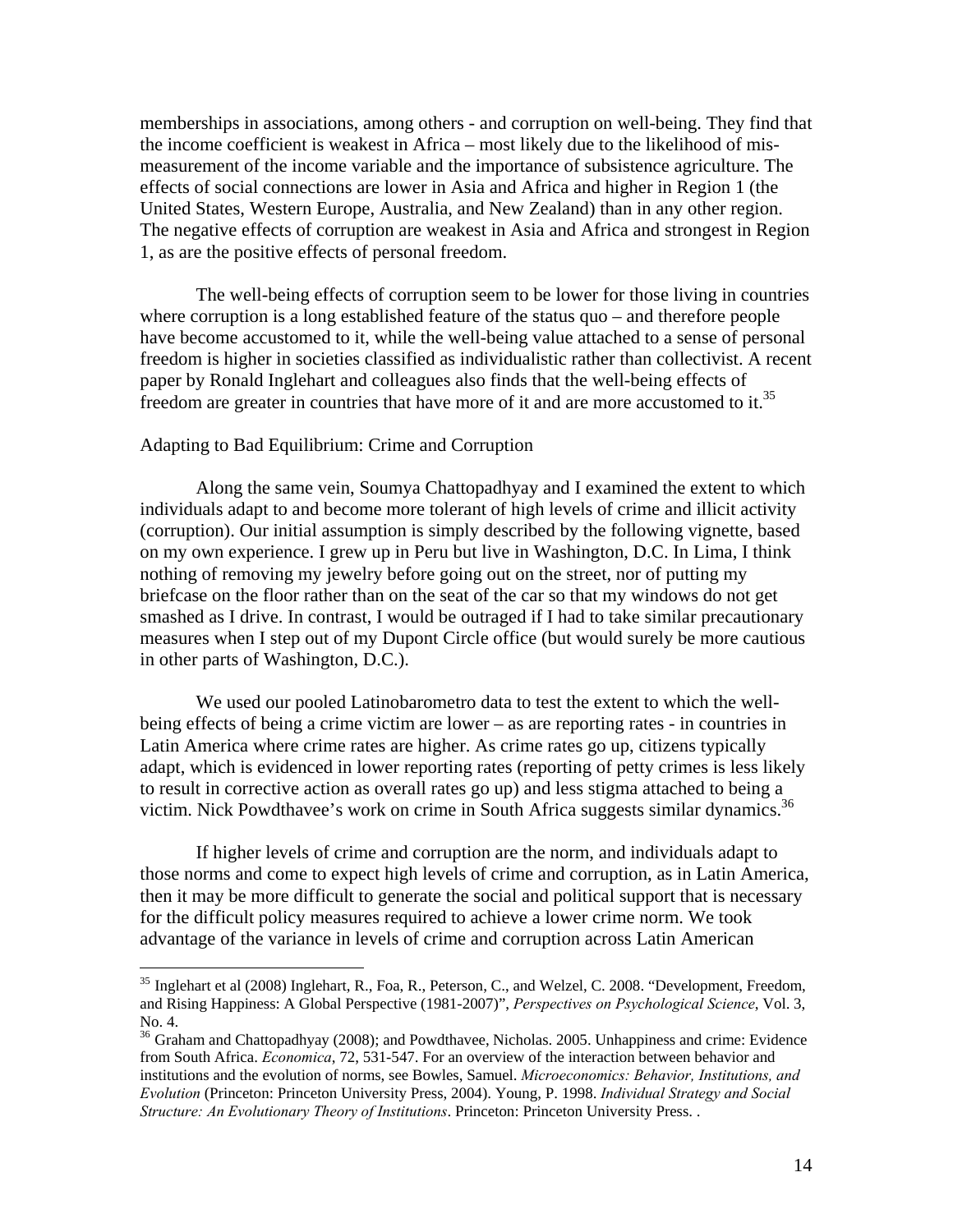memberships in associations, among others - and corruption on well-being. They find that the income coefficient is weakest in Africa – most likely due to the likelihood of mismeasurement of the income variable and the importance of subsistence agriculture. The effects of social connections are lower in Asia and Africa and higher in Region 1 (the United States, Western Europe, Australia, and New Zealand) than in any other region. The negative effects of corruption are weakest in Asia and Africa and strongest in Region 1, as are the positive effects of personal freedom.

The well-being effects of corruption seem to be lower for those living in countries where corruption is a long established feature of the status quo – and therefore people have become accustomed to it, while the well-being value attached to a sense of personal freedom is higher in societies classified as individualistic rather than collectivist. A recent paper by Ronald Inglehart and colleagues also finds that the well-being effects of freedom are greater in countries that have more of it and are more accustomed to it.<sup>35</sup>

#### Adapting to Bad Equilibrium: Crime and Corruption

1

Along the same vein, Soumya Chattopadhyay and I examined the extent to which individuals adapt to and become more tolerant of high levels of crime and illicit activity (corruption). Our initial assumption is simply described by the following vignette, based on my own experience. I grew up in Peru but live in Washington, D.C. In Lima, I think nothing of removing my jewelry before going out on the street, nor of putting my briefcase on the floor rather than on the seat of the car so that my windows do not get smashed as I drive. In contrast, I would be outraged if I had to take similar precautionary measures when I step out of my Dupont Circle office (but would surely be more cautious in other parts of Washington, D.C.).

We used our pooled Latinobarometro data to test the extent to which the wellbeing effects of being a crime victim are lower – as are reporting rates - in countries in Latin America where crime rates are higher. As crime rates go up, citizens typically adapt, which is evidenced in lower reporting rates (reporting of petty crimes is less likely to result in corrective action as overall rates go up) and less stigma attached to being a victim. Nick Powdthavee's work on crime in South Africa suggests similar dynamics.<sup>36</sup>

If higher levels of crime and corruption are the norm, and individuals adapt to those norms and come to expect high levels of crime and corruption, as in Latin America, then it may be more difficult to generate the social and political support that is necessary for the difficult policy measures required to achieve a lower crime norm. We took advantage of the variance in levels of crime and corruption across Latin American

<sup>&</sup>lt;sup>35</sup> Inglehart et al (2008) Inglehart, R., Foa, R., Peterson, C., and Welzel, C. 2008. "Development, Freedom, and Rising Happiness: A Global Perspective (1981-2007)", *Perspectives on Psychological Science*, Vol. 3, No. 4.<br><sup>36</sup> Graham and Chattopadhyay (2008); and Powdthavee, Nicholas. 2005. Unhappiness and crime: Evidence

from South Africa. *Economica*, 72, 531-547. For an overview of the interaction between behavior and institutions and the evolution of norms, see Bowles, Samuel. *Microeconomics: Behavior, Institutions, and Evolution* (Princeton: Princeton University Press, 2004). Young, P. 1998. *Individual Strategy and Social Structure: An Evolutionary Theory of Institutions*. Princeton: Princeton University Press. .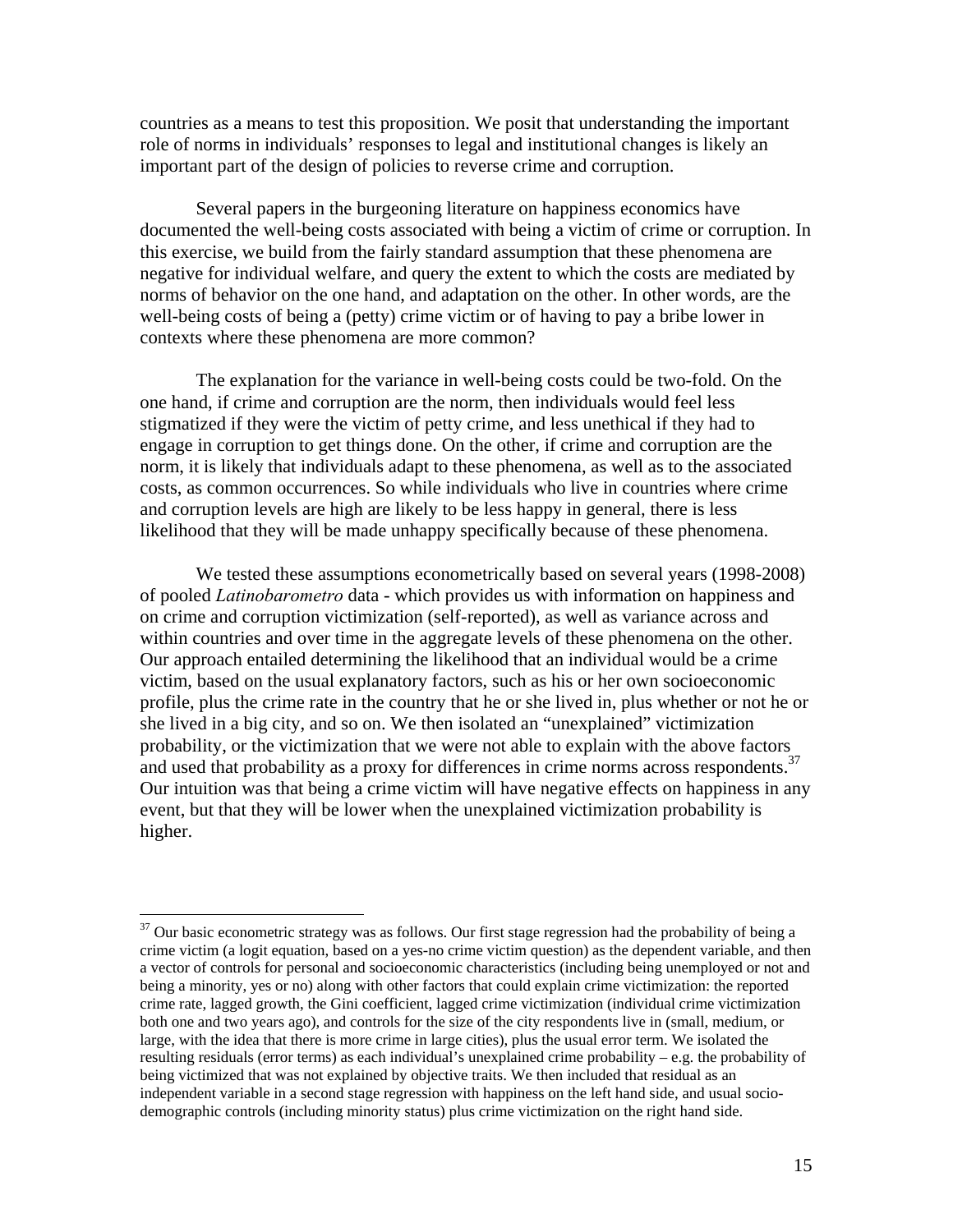countries as a means to test this proposition. We posit that understanding the important role of norms in individuals' responses to legal and institutional changes is likely an important part of the design of policies to reverse crime and corruption.

 Several papers in the burgeoning literature on happiness economics have documented the well-being costs associated with being a victim of crime or corruption. In this exercise, we build from the fairly standard assumption that these phenomena are negative for individual welfare, and query the extent to which the costs are mediated by norms of behavior on the one hand, and adaptation on the other. In other words, are the well-being costs of being a (petty) crime victim or of having to pay a bribe lower in contexts where these phenomena are more common?

The explanation for the variance in well-being costs could be two-fold. On the one hand, if crime and corruption are the norm, then individuals would feel less stigmatized if they were the victim of petty crime, and less unethical if they had to engage in corruption to get things done. On the other, if crime and corruption are the norm, it is likely that individuals adapt to these phenomena, as well as to the associated costs, as common occurrences. So while individuals who live in countries where crime and corruption levels are high are likely to be less happy in general, there is less likelihood that they will be made unhappy specifically because of these phenomena.

We tested these assumptions econometrically based on several years (1998-2008) of pooled *Latinobarometro* data - which provides us with information on happiness and on crime and corruption victimization (self-reported), as well as variance across and within countries and over time in the aggregate levels of these phenomena on the other. Our approach entailed determining the likelihood that an individual would be a crime victim, based on the usual explanatory factors, such as his or her own socioeconomic profile, plus the crime rate in the country that he or she lived in, plus whether or not he or she lived in a big city, and so on. We then isolated an "unexplained" victimization probability, or the victimization that we were not able to explain with the above factors and used that probability as a proxy for differences in crime norms across respondents.<sup>37</sup> Our intuition was that being a crime victim will have negative effects on happiness in any event, but that they will be lower when the unexplained victimization probability is higher.

1

 $37$  Our basic econometric strategy was as follows. Our first stage regression had the probability of being a crime victim (a logit equation, based on a yes-no crime victim question) as the dependent variable, and then a vector of controls for personal and socioeconomic characteristics (including being unemployed or not and being a minority, yes or no) along with other factors that could explain crime victimization: the reported crime rate, lagged growth, the Gini coefficient, lagged crime victimization (individual crime victimization both one and two years ago), and controls for the size of the city respondents live in (small, medium, or large, with the idea that there is more crime in large cities), plus the usual error term. We isolated the resulting residuals (error terms) as each individual's unexplained crime probability – e.g. the probability of being victimized that was not explained by objective traits. We then included that residual as an independent variable in a second stage regression with happiness on the left hand side, and usual sociodemographic controls (including minority status) plus crime victimization on the right hand side.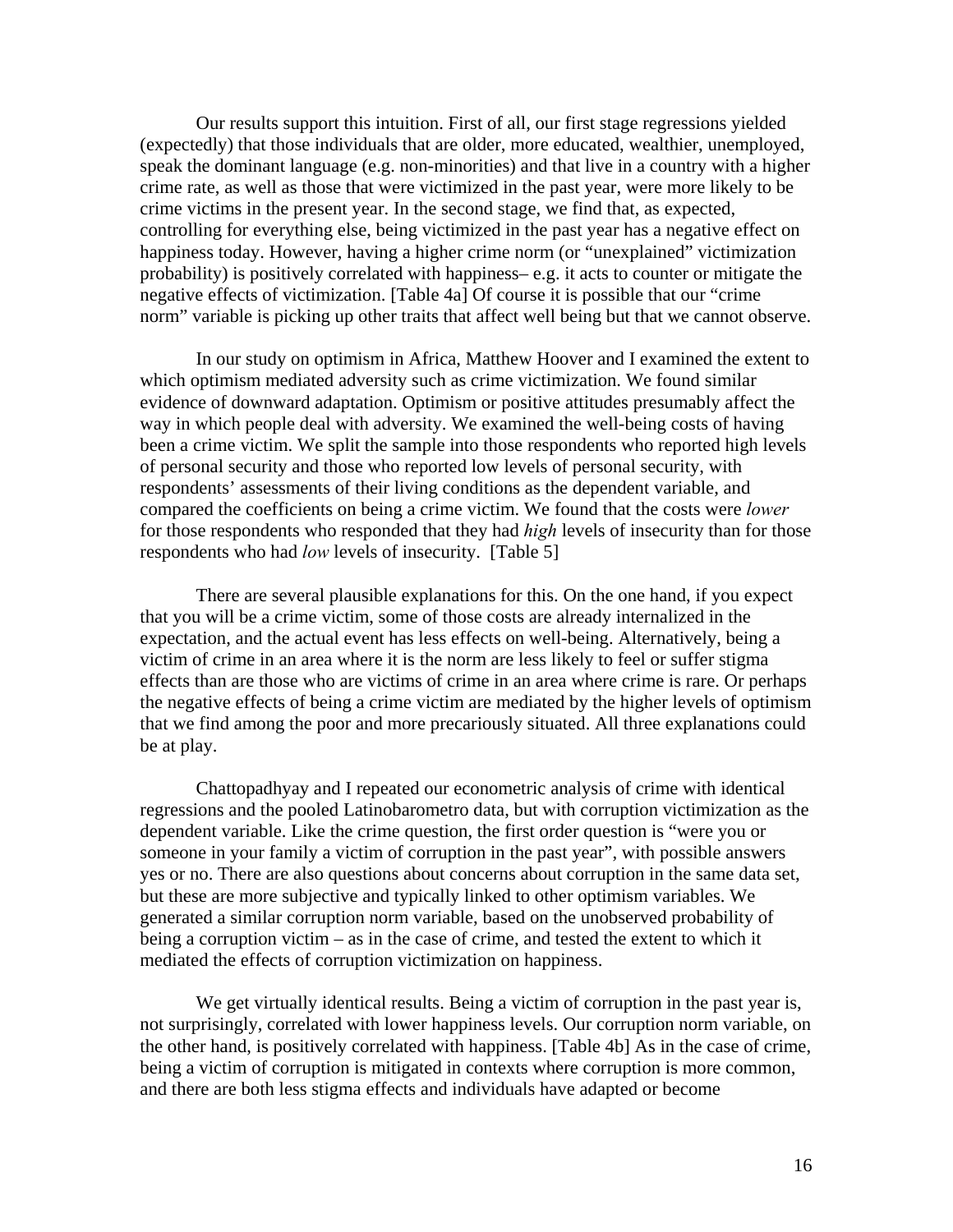Our results support this intuition. First of all, our first stage regressions yielded (expectedly) that those individuals that are older, more educated, wealthier, unemployed, speak the dominant language (e.g. non-minorities) and that live in a country with a higher crime rate, as well as those that were victimized in the past year, were more likely to be crime victims in the present year. In the second stage, we find that, as expected, controlling for everything else, being victimized in the past year has a negative effect on happiness today. However, having a higher crime norm (or "unexplained" victimization probability) is positively correlated with happiness– e.g. it acts to counter or mitigate the negative effects of victimization. [Table 4a] Of course it is possible that our "crime norm" variable is picking up other traits that affect well being but that we cannot observe.

In our study on optimism in Africa, Matthew Hoover and I examined the extent to which optimism mediated adversity such as crime victimization. We found similar evidence of downward adaptation. Optimism or positive attitudes presumably affect the way in which people deal with adversity. We examined the well-being costs of having been a crime victim. We split the sample into those respondents who reported high levels of personal security and those who reported low levels of personal security, with respondents' assessments of their living conditions as the dependent variable, and compared the coefficients on being a crime victim. We found that the costs were *lower* for those respondents who responded that they had *high* levels of insecurity than for those respondents who had *low* levels of insecurity. [Table 5]

There are several plausible explanations for this. On the one hand, if you expect that you will be a crime victim, some of those costs are already internalized in the expectation, and the actual event has less effects on well-being. Alternatively, being a victim of crime in an area where it is the norm are less likely to feel or suffer stigma effects than are those who are victims of crime in an area where crime is rare. Or perhaps the negative effects of being a crime victim are mediated by the higher levels of optimism that we find among the poor and more precariously situated. All three explanations could be at play.

Chattopadhyay and I repeated our econometric analysis of crime with identical regressions and the pooled Latinobarometro data, but with corruption victimization as the dependent variable. Like the crime question, the first order question is "were you or someone in your family a victim of corruption in the past year", with possible answers yes or no. There are also questions about concerns about corruption in the same data set, but these are more subjective and typically linked to other optimism variables. We generated a similar corruption norm variable, based on the unobserved probability of being a corruption victim – as in the case of crime, and tested the extent to which it mediated the effects of corruption victimization on happiness.

We get virtually identical results. Being a victim of corruption in the past year is, not surprisingly, correlated with lower happiness levels. Our corruption norm variable, on the other hand, is positively correlated with happiness. [Table 4b] As in the case of crime, being a victim of corruption is mitigated in contexts where corruption is more common, and there are both less stigma effects and individuals have adapted or become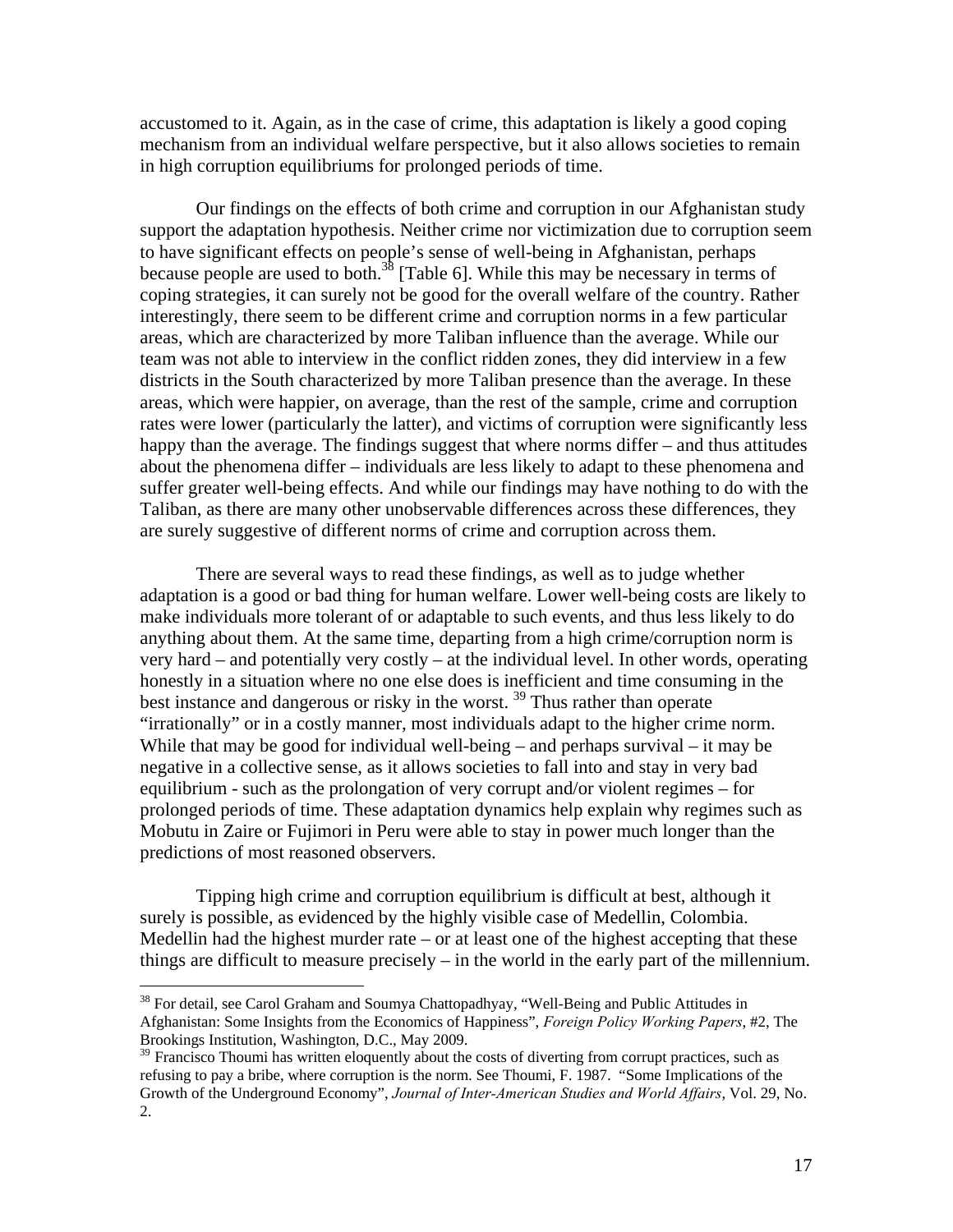accustomed to it. Again, as in the case of crime, this adaptation is likely a good coping mechanism from an individual welfare perspective, but it also allows societies to remain in high corruption equilibriums for prolonged periods of time.

Our findings on the effects of both crime and corruption in our Afghanistan study support the adaptation hypothesis. Neither crime nor victimization due to corruption seem to have significant effects on people's sense of well-being in Afghanistan, perhaps because people are used to both.<sup>38</sup> [Table 6]. While this may be necessary in terms of coping strategies, it can surely not be good for the overall welfare of the country. Rather interestingly, there seem to be different crime and corruption norms in a few particular areas, which are characterized by more Taliban influence than the average. While our team was not able to interview in the conflict ridden zones, they did interview in a few districts in the South characterized by more Taliban presence than the average. In these areas, which were happier, on average, than the rest of the sample, crime and corruption rates were lower (particularly the latter), and victims of corruption were significantly less happy than the average. The findings suggest that where norms differ – and thus attitudes about the phenomena differ – individuals are less likely to adapt to these phenomena and suffer greater well-being effects. And while our findings may have nothing to do with the Taliban, as there are many other unobservable differences across these differences, they are surely suggestive of different norms of crime and corruption across them.

There are several ways to read these findings, as well as to judge whether adaptation is a good or bad thing for human welfare. Lower well-being costs are likely to make individuals more tolerant of or adaptable to such events, and thus less likely to do anything about them. At the same time, departing from a high crime/corruption norm is very hard – and potentially very costly – at the individual level. In other words, operating honestly in a situation where no one else does is inefficient and time consuming in the best instance and dangerous or risky in the worst.<sup>39</sup> Thus rather than operate "irrationally" or in a costly manner, most individuals adapt to the higher crime norm. While that may be good for individual well-being – and perhaps survival – it may be negative in a collective sense, as it allows societies to fall into and stay in very bad equilibrium - such as the prolongation of very corrupt and/or violent regimes – for prolonged periods of time. These adaptation dynamics help explain why regimes such as Mobutu in Zaire or Fujimori in Peru were able to stay in power much longer than the predictions of most reasoned observers.

Tipping high crime and corruption equilibrium is difficult at best, although it surely is possible, as evidenced by the highly visible case of Medellin, Colombia. Medellin had the highest murder rate – or at least one of the highest accepting that these things are difficult to measure precisely – in the world in the early part of the millennium.

<sup>&</sup>lt;sup>38</sup> For detail, see Carol Graham and Soumya Chattopadhyay, "Well-Being and Public Attitudes in Afghanistan: Some Insights from the Economics of Happiness", *Foreign Policy Working Papers*, #2, The Brookings Institution, Washington, D.C., May 2009.

<sup>&</sup>lt;sup>39</sup> Francisco Thoumi has written eloquently about the costs of diverting from corrupt practices, such as refusing to pay a bribe, where corruption is the norm. See Thoumi, F. 1987. "Some Implications of the Growth of the Underground Economy", *Journal of Inter-American Studies and World Affairs*, Vol. 29, No. 2.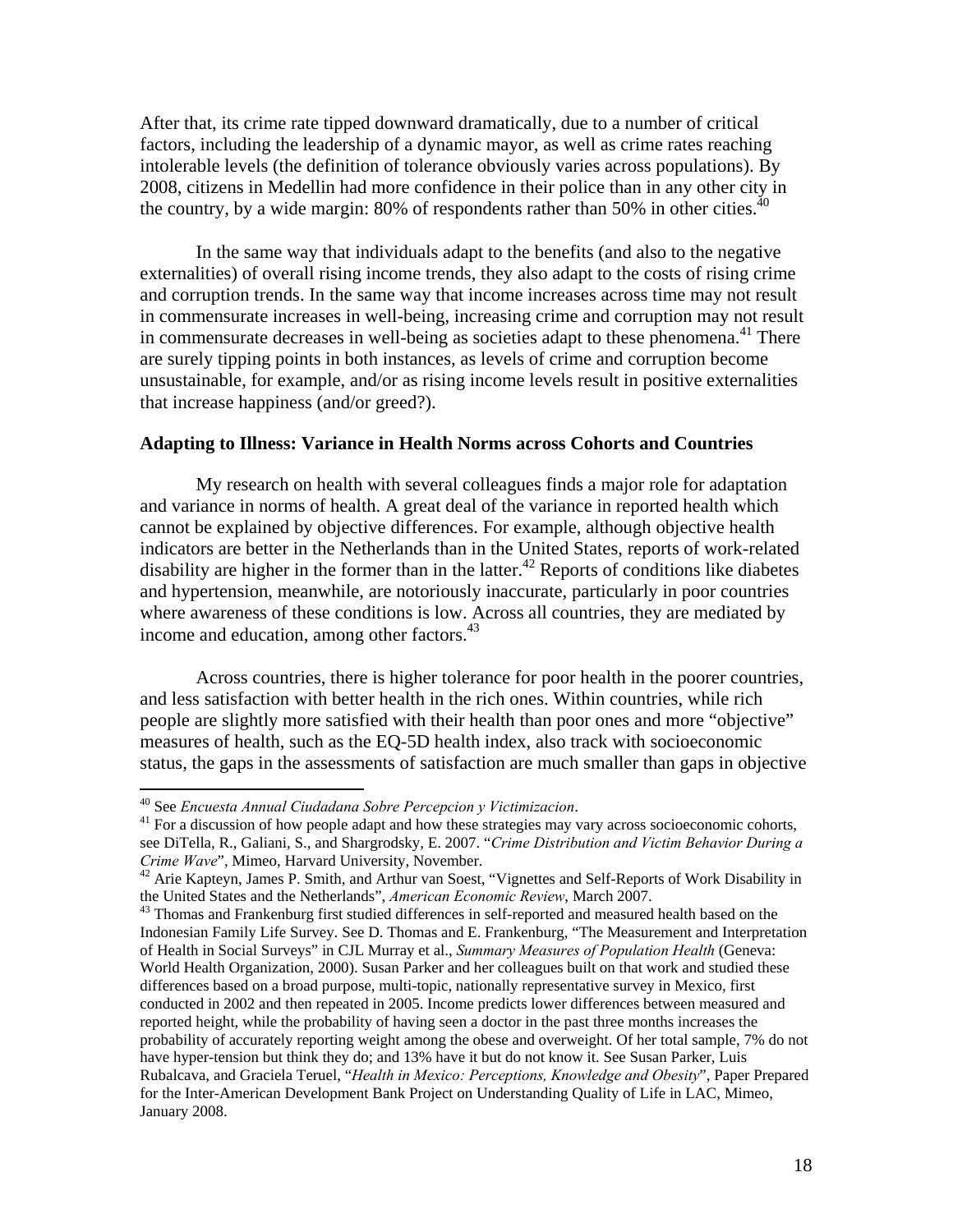After that, its crime rate tipped downward dramatically, due to a number of critical factors, including the leadership of a dynamic mayor, as well as crime rates reaching intolerable levels (the definition of tolerance obviously varies across populations). By 2008, citizens in Medellin had more confidence in their police than in any other city in the country, by a wide margin: 80% of respondents rather than 50% in other cities.<sup>40</sup>

In the same way that individuals adapt to the benefits (and also to the negative externalities) of overall rising income trends, they also adapt to the costs of rising crime and corruption trends. In the same way that income increases across time may not result in commensurate increases in well-being, increasing crime and corruption may not result in commensurate decreases in well-being as societies adapt to these phenomena.<sup>41</sup> There are surely tipping points in both instances, as levels of crime and corruption become unsustainable, for example, and/or as rising income levels result in positive externalities that increase happiness (and/or greed?).

#### **Adapting to Illness: Variance in Health Norms across Cohorts and Countries**

My research on health with several colleagues finds a major role for adaptation and variance in norms of health. A great deal of the variance in reported health which cannot be explained by objective differences. For example, although objective health indicators are better in the Netherlands than in the United States, reports of work-related disability are higher in the former than in the latter.<sup>42</sup> Reports of conditions like diabetes and hypertension, meanwhile, are notoriously inaccurate, particularly in poor countries where awareness of these conditions is low. Across all countries, they are mediated by income and education, among other factors.<sup>43</sup>

Across countries, there is higher tolerance for poor health in the poorer countries, and less satisfaction with better health in the rich ones. Within countries, while rich people are slightly more satisfied with their health than poor ones and more "objective" measures of health, such as the EQ-5D health index, also track with socioeconomic status, the gaps in the assessments of satisfaction are much smaller than gaps in objective

 $40$  See Encuesta Annual Ciudadana Sobre Percepcion y Victimizacion.

<sup>&</sup>lt;sup>41</sup> For a discussion of how people adapt and how these strategies may vary across socioeconomic cohorts, see DiTella, R., Galiani, S., and Shargrodsky, E. 2007. "*Crime Distribution and Victim Behavior During a* 

*Crime Wave*", Mimeo, Harvard University, November.<br><sup>42</sup> Arie Kapteyn, James P. Smith, and Arthur van Soest, "Vignettes and Self-Reports of Work Disability in the United States and the Netherlands", *American Economic Revi* 

<sup>&</sup>lt;sup>43</sup> Thomas and Frankenburg first studied differences in self-reported and measured health based on the Indonesian Family Life Survey. See D. Thomas and E. Frankenburg, "The Measurement and Interpretation of Health in Social Surveys" in CJL Murray et al., *Summary Measures of Population Health* (Geneva: World Health Organization, 2000). Susan Parker and her colleagues built on that work and studied these differences based on a broad purpose, multi-topic, nationally representative survey in Mexico, first conducted in 2002 and then repeated in 2005. Income predicts lower differences between measured and reported height, while the probability of having seen a doctor in the past three months increases the probability of accurately reporting weight among the obese and overweight. Of her total sample, 7% do not have hyper-tension but think they do; and 13% have it but do not know it. See Susan Parker, Luis Rubalcava, and Graciela Teruel, "*Health in Mexico: Perceptions, Knowledge and Obesity*", Paper Prepared for the Inter-American Development Bank Project on Understanding Quality of Life in LAC, Mimeo, January 2008.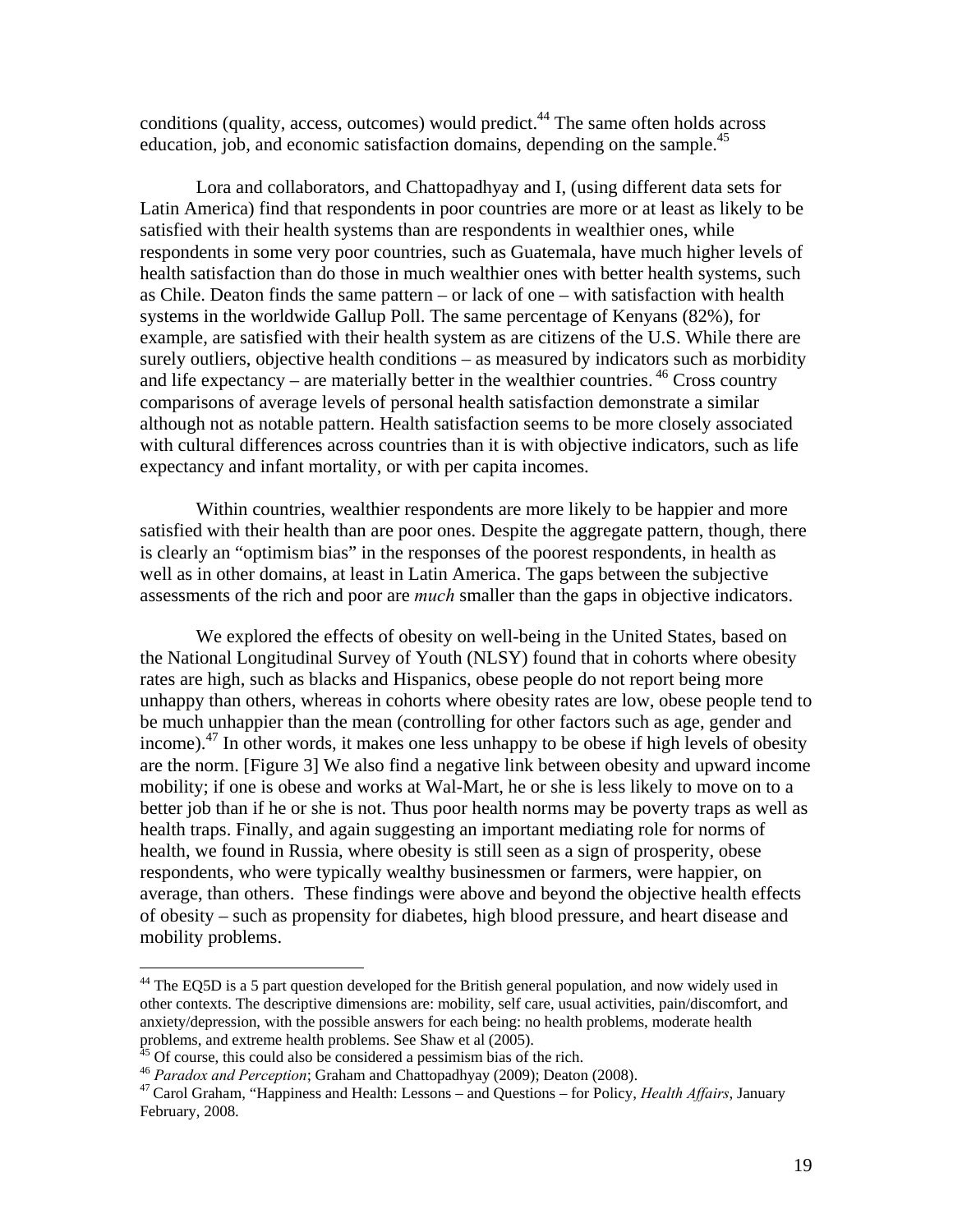conditions (quality, access, outcomes) would predict.<sup>44</sup> The same often holds across education, job, and economic satisfaction domains, depending on the sample.<sup>45</sup>

Lora and collaborators, and Chattopadhyay and I, (using different data sets for Latin America) find that respondents in poor countries are more or at least as likely to be satisfied with their health systems than are respondents in wealthier ones, while respondents in some very poor countries, such as Guatemala, have much higher levels of health satisfaction than do those in much wealthier ones with better health systems, such as Chile. Deaton finds the same pattern – or lack of one – with satisfaction with health systems in the worldwide Gallup Poll. The same percentage of Kenyans (82%), for example, are satisfied with their health system as are citizens of the U.S. While there are surely outliers, objective health conditions – as measured by indicators such as morbidity and life expectancy – are materially better in the wealthier countries.  $46$  Cross country comparisons of average levels of personal health satisfaction demonstrate a similar although not as notable pattern. Health satisfaction seems to be more closely associated with cultural differences across countries than it is with objective indicators, such as life expectancy and infant mortality, or with per capita incomes.

Within countries, wealthier respondents are more likely to be happier and more satisfied with their health than are poor ones. Despite the aggregate pattern, though, there is clearly an "optimism bias" in the responses of the poorest respondents, in health as well as in other domains, at least in Latin America. The gaps between the subjective assessments of the rich and poor are *much* smaller than the gaps in objective indicators.

We explored the effects of obesity on well-being in the United States, based on the National Longitudinal Survey of Youth (NLSY) found that in cohorts where obesity rates are high, such as blacks and Hispanics, obese people do not report being more unhappy than others, whereas in cohorts where obesity rates are low, obese people tend to be much unhappier than the mean (controlling for other factors such as age, gender and income).47 In other words, it makes one less unhappy to be obese if high levels of obesity are the norm. [Figure 3] We also find a negative link between obesity and upward income mobility; if one is obese and works at Wal-Mart, he or she is less likely to move on to a better job than if he or she is not. Thus poor health norms may be poverty traps as well as health traps. Finally, and again suggesting an important mediating role for norms of health, we found in Russia, where obesity is still seen as a sign of prosperity, obese respondents, who were typically wealthy businessmen or farmers, were happier, on average, than others. These findings were above and beyond the objective health effects of obesity – such as propensity for diabetes, high blood pressure, and heart disease and mobility problems.

 $44$  The EQ5D is a 5 part question developed for the British general population, and now widely used in other contexts. The descriptive dimensions are: mobility, self care, usual activities, pain/discomfort, and anxiety/depression, with the possible answers for each being: no health problems, moderate health problems, and extreme health problems. See Shaw et al (2005).<br><sup>45</sup> Of course, this could also be considered a pessimism bias of the rich.<br><sup>46</sup> Paradox and Perception; Graham and Chattopadhyay (2009); Deaton (2008).<br><sup>47</sup> Ca

February, 2008.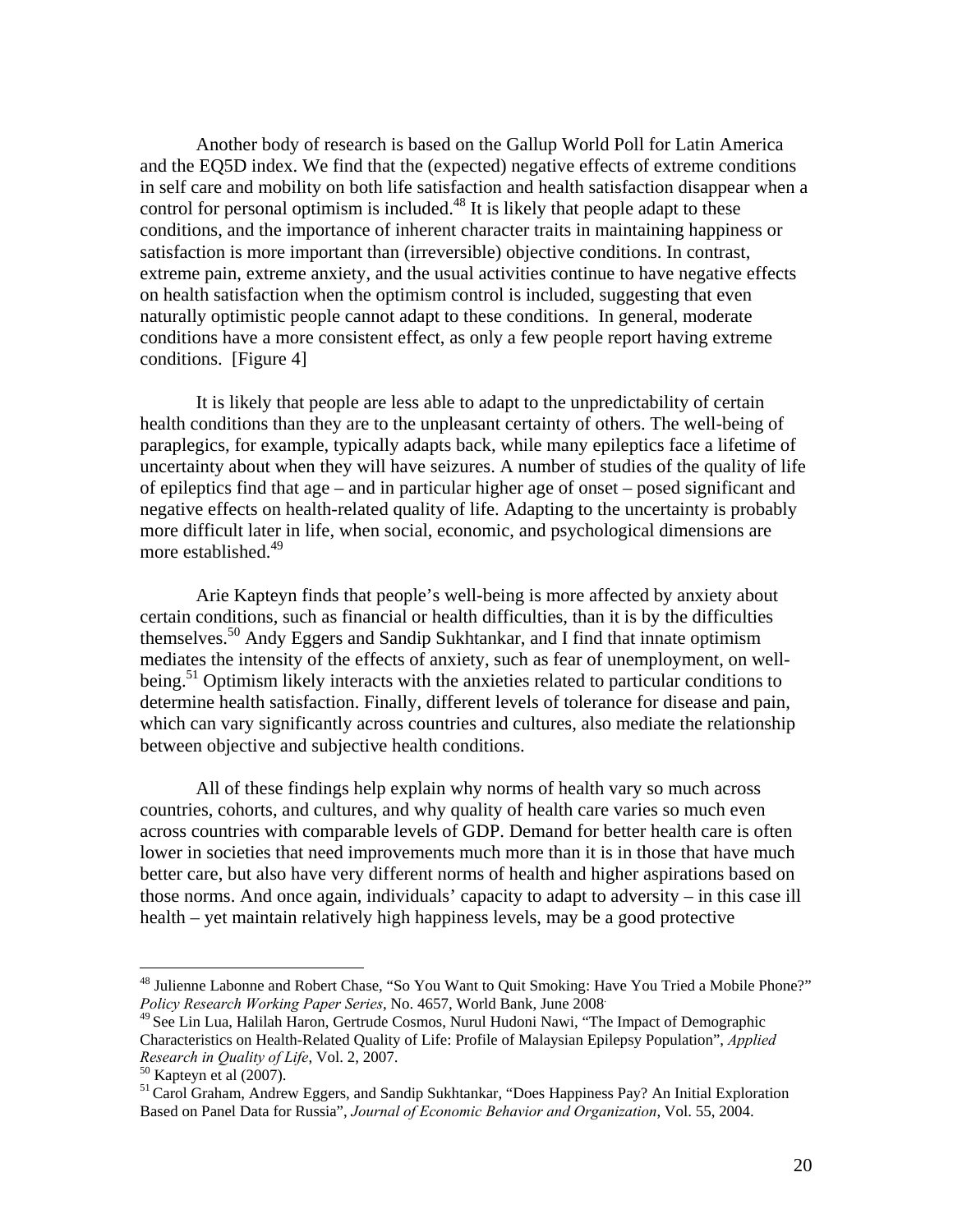Another body of research is based on the Gallup World Poll for Latin America and the EQ5D index. We find that the (expected) negative effects of extreme conditions in self care and mobility on both life satisfaction and health satisfaction disappear when a control for personal optimism is included.<sup>48</sup> It is likely that people adapt to these conditions, and the importance of inherent character traits in maintaining happiness or satisfaction is more important than (irreversible) objective conditions. In contrast, extreme pain, extreme anxiety, and the usual activities continue to have negative effects on health satisfaction when the optimism control is included, suggesting that even naturally optimistic people cannot adapt to these conditions. In general, moderate conditions have a more consistent effect, as only a few people report having extreme conditions. [Figure 4]

It is likely that people are less able to adapt to the unpredictability of certain health conditions than they are to the unpleasant certainty of others. The well-being of paraplegics, for example, typically adapts back, while many epileptics face a lifetime of uncertainty about when they will have seizures. A number of studies of the quality of life of epileptics find that age – and in particular higher age of onset – posed significant and negative effects on health-related quality of life. Adapting to the uncertainty is probably more difficult later in life, when social, economic, and psychological dimensions are more established.<sup>49</sup>

Arie Kapteyn finds that people's well-being is more affected by anxiety about certain conditions, such as financial or health difficulties, than it is by the difficulties themselves.50 Andy Eggers and Sandip Sukhtankar, and I find that innate optimism mediates the intensity of the effects of anxiety, such as fear of unemployment, on wellbeing.<sup>51</sup> Optimism likely interacts with the anxieties related to particular conditions to determine health satisfaction. Finally, different levels of tolerance for disease and pain, which can vary significantly across countries and cultures, also mediate the relationship between objective and subjective health conditions.

All of these findings help explain why norms of health vary so much across countries, cohorts, and cultures, and why quality of health care varies so much even across countries with comparable levels of GDP. Demand for better health care is often lower in societies that need improvements much more than it is in those that have much better care, but also have very different norms of health and higher aspirations based on those norms. And once again, individuals' capacity to adapt to adversity – in this case ill health – yet maintain relatively high happiness levels, may be a good protective

<sup>&</sup>lt;sup>48</sup> Julienne Labonne and Robert Chase, "So You Want to Quit Smoking: Have You Tried a Mobile Phone?" *Policy Research Working Paper Series*, No. 4657, World Bank, June 2008.

<sup>49</sup> See Lin Lua, Halilah Haron, Gertrude Cosmos, Nurul Hudoni Nawi, "The Impact of Demographic Characteristics on Health-Related Quality of Life: Profile of Malaysian Epilepsy Population", *Applied Research in Quality of Life*, Vol. 2, 2007.<br><sup>50</sup> Kapteyn et al (2007).

<sup>&</sup>lt;sup>51</sup> Carol Graham, Andrew Eggers, and Sandip Sukhtankar, "Does Happiness Pay? An Initial Exploration Based on Panel Data for Russia", *Journal of Economic Behavior and Organization*, Vol. 55, 2004.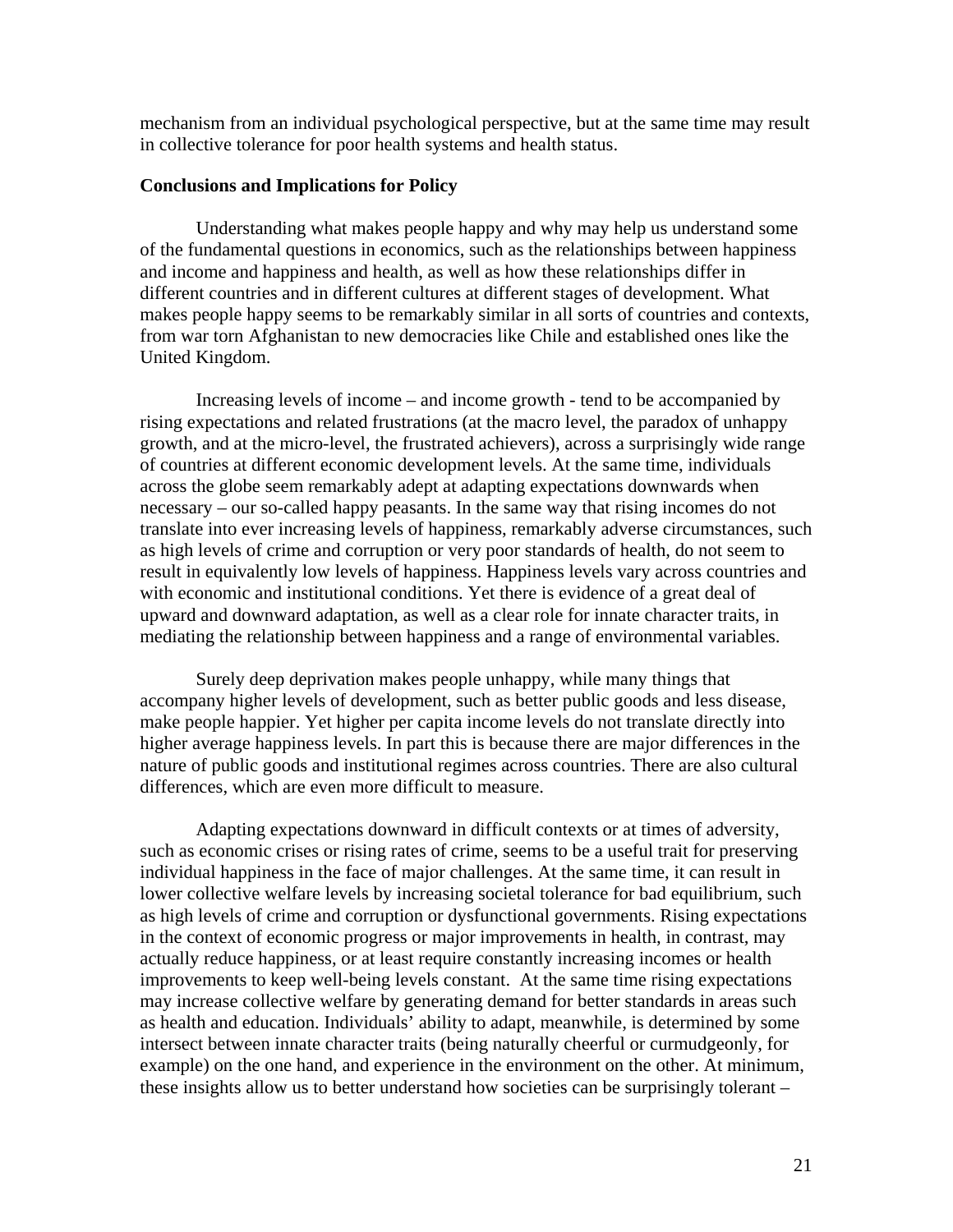mechanism from an individual psychological perspective, but at the same time may result in collective tolerance for poor health systems and health status.

#### **Conclusions and Implications for Policy**

Understanding what makes people happy and why may help us understand some of the fundamental questions in economics, such as the relationships between happiness and income and happiness and health, as well as how these relationships differ in different countries and in different cultures at different stages of development. What makes people happy seems to be remarkably similar in all sorts of countries and contexts, from war torn Afghanistan to new democracies like Chile and established ones like the United Kingdom.

 Increasing levels of income – and income growth - tend to be accompanied by rising expectations and related frustrations (at the macro level, the paradox of unhappy growth, and at the micro-level, the frustrated achievers), across a surprisingly wide range of countries at different economic development levels. At the same time, individuals across the globe seem remarkably adept at adapting expectations downwards when necessary – our so-called happy peasants. In the same way that rising incomes do not translate into ever increasing levels of happiness, remarkably adverse circumstances, such as high levels of crime and corruption or very poor standards of health, do not seem to result in equivalently low levels of happiness. Happiness levels vary across countries and with economic and institutional conditions. Yet there is evidence of a great deal of upward and downward adaptation, as well as a clear role for innate character traits, in mediating the relationship between happiness and a range of environmental variables.

 Surely deep deprivation makes people unhappy, while many things that accompany higher levels of development, such as better public goods and less disease, make people happier. Yet higher per capita income levels do not translate directly into higher average happiness levels. In part this is because there are major differences in the nature of public goods and institutional regimes across countries. There are also cultural differences, which are even more difficult to measure.

 Adapting expectations downward in difficult contexts or at times of adversity, such as economic crises or rising rates of crime, seems to be a useful trait for preserving individual happiness in the face of major challenges. At the same time, it can result in lower collective welfare levels by increasing societal tolerance for bad equilibrium, such as high levels of crime and corruption or dysfunctional governments. Rising expectations in the context of economic progress or major improvements in health, in contrast, may actually reduce happiness, or at least require constantly increasing incomes or health improvements to keep well-being levels constant. At the same time rising expectations may increase collective welfare by generating demand for better standards in areas such as health and education. Individuals' ability to adapt, meanwhile, is determined by some intersect between innate character traits (being naturally cheerful or curmudgeonly, for example) on the one hand, and experience in the environment on the other. At minimum, these insights allow us to better understand how societies can be surprisingly tolerant –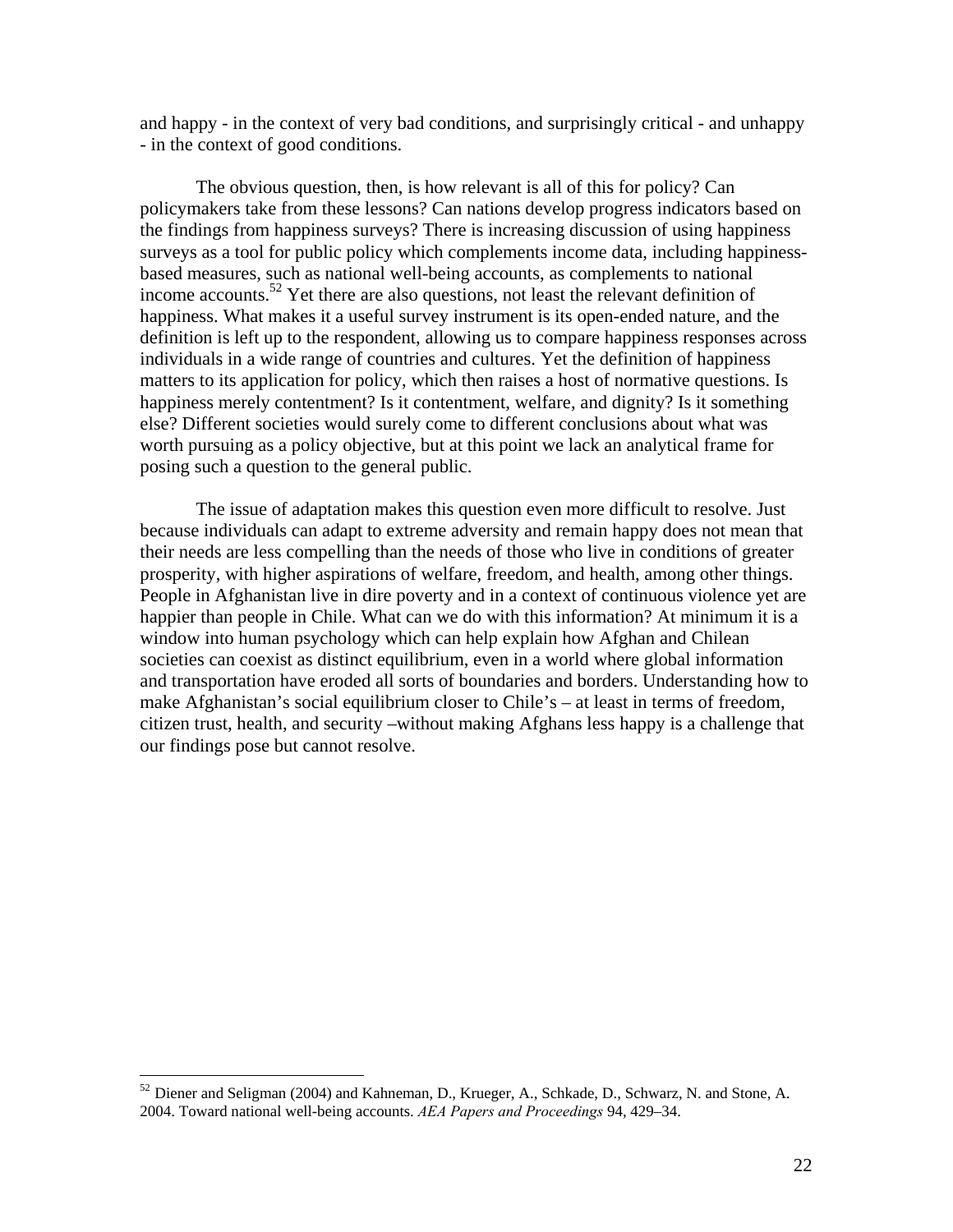and happy - in the context of very bad conditions, and surprisingly critical - and unhappy - in the context of good conditions.

The obvious question, then, is how relevant is all of this for policy? Can policymakers take from these lessons? Can nations develop progress indicators based on the findings from happiness surveys? There is increasing discussion of using happiness surveys as a tool for public policy which complements income data, including happinessbased measures, such as national well-being accounts, as complements to national income accounts.<sup>52</sup> Yet there are also questions, not least the relevant definition of happiness. What makes it a useful survey instrument is its open-ended nature, and the definition is left up to the respondent, allowing us to compare happiness responses across individuals in a wide range of countries and cultures. Yet the definition of happiness matters to its application for policy, which then raises a host of normative questions. Is happiness merely contentment? Is it contentment, welfare, and dignity? Is it something else? Different societies would surely come to different conclusions about what was worth pursuing as a policy objective, but at this point we lack an analytical frame for posing such a question to the general public.

The issue of adaptation makes this question even more difficult to resolve. Just because individuals can adapt to extreme adversity and remain happy does not mean that their needs are less compelling than the needs of those who live in conditions of greater prosperity, with higher aspirations of welfare, freedom, and health, among other things. People in Afghanistan live in dire poverty and in a context of continuous violence yet are happier than people in Chile. What can we do with this information? At minimum it is a window into human psychology which can help explain how Afghan and Chilean societies can coexist as distinct equilibrium, even in a world where global information and transportation have eroded all sorts of boundaries and borders. Understanding how to make Afghanistan's social equilibrium closer to Chile's – at least in terms of freedom, citizen trust, health, and security –without making Afghans less happy is a challenge that our findings pose but cannot resolve.

1

 $52$  Diener and Seligman (2004) and Kahneman, D., Krueger, A., Schkade, D., Schwarz, N. and Stone, A. 2004. Toward national well-being accounts. *AEA Papers and Proceedings* 94, 429–34.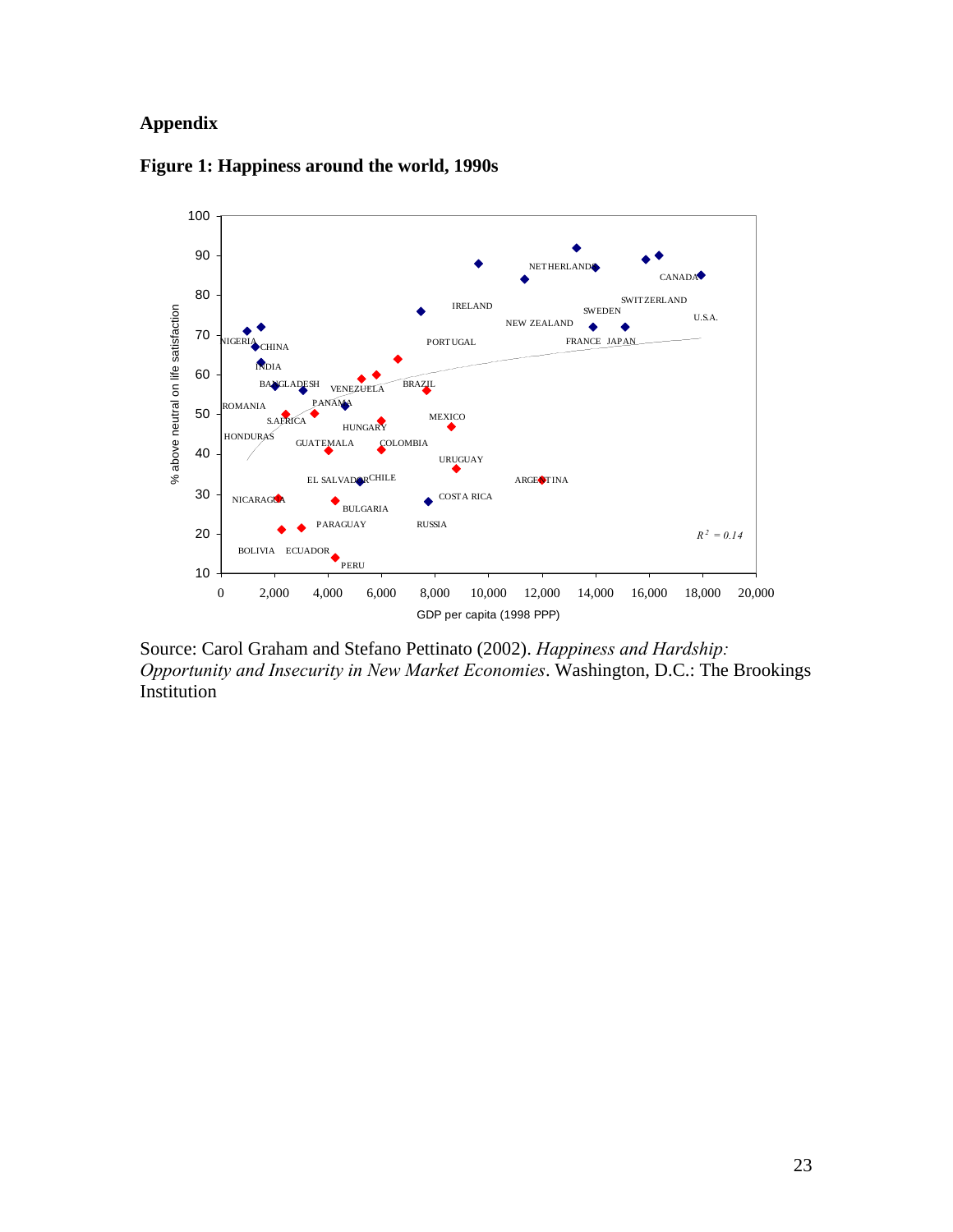# **Appendix**



**Figure 1: Happiness around the world, 1990s** 

Source: Carol Graham and Stefano Pettinato (2002). *Happiness and Hardship: Opportunity and Insecurity in New Market Economies*. Washington, D.C.: The Brookings Institution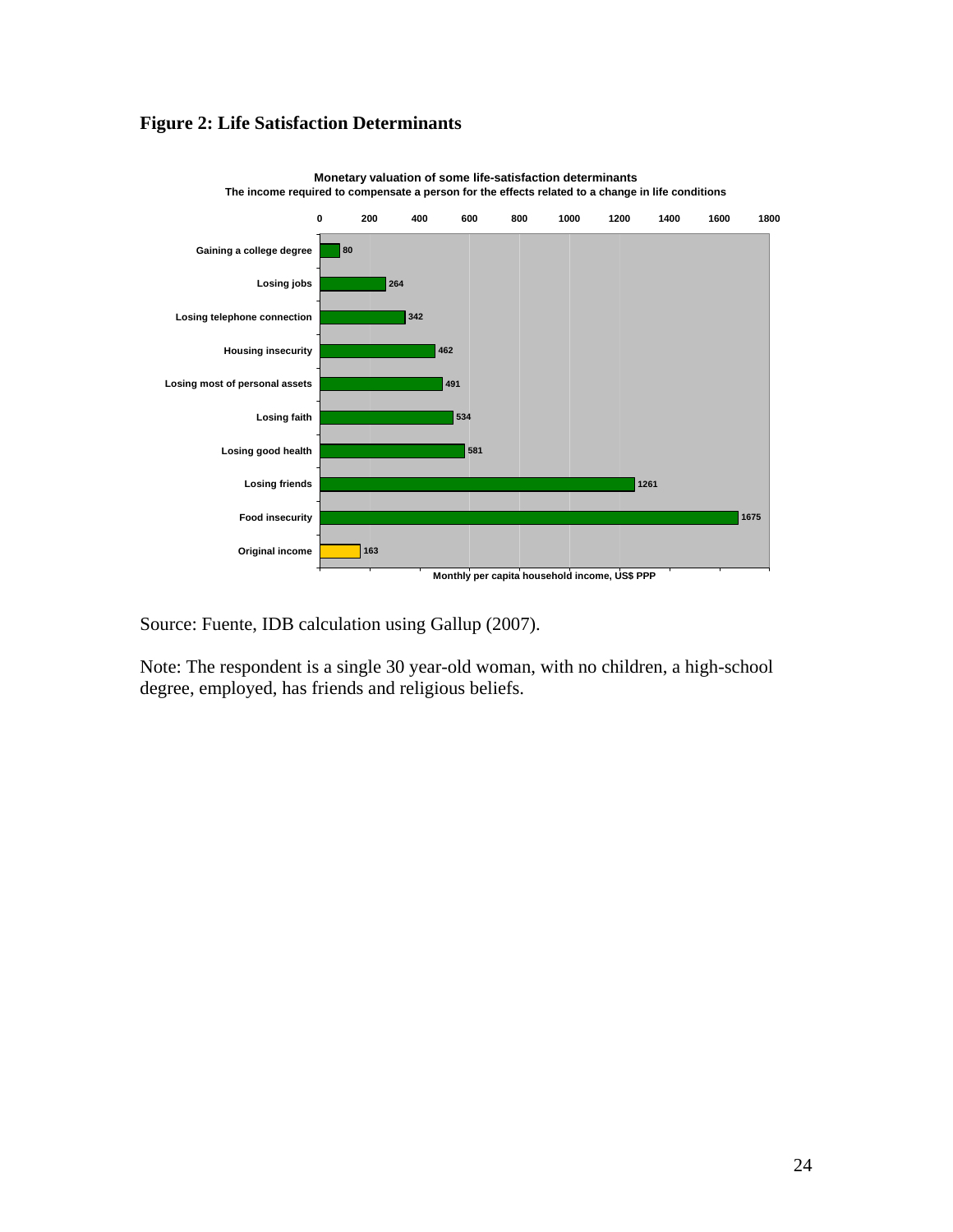# **Figure 2: Life Satisfaction Determinants**



**Monetary valuation of some life-satisfaction determinants The income required to compensate a person for the effects related to a change in life conditions**

Source: Fuente, IDB calculation using Gallup (2007).

Note: The respondent is a single 30 year-old woman, with no children, a high-school degree, employed, has friends and religious beliefs.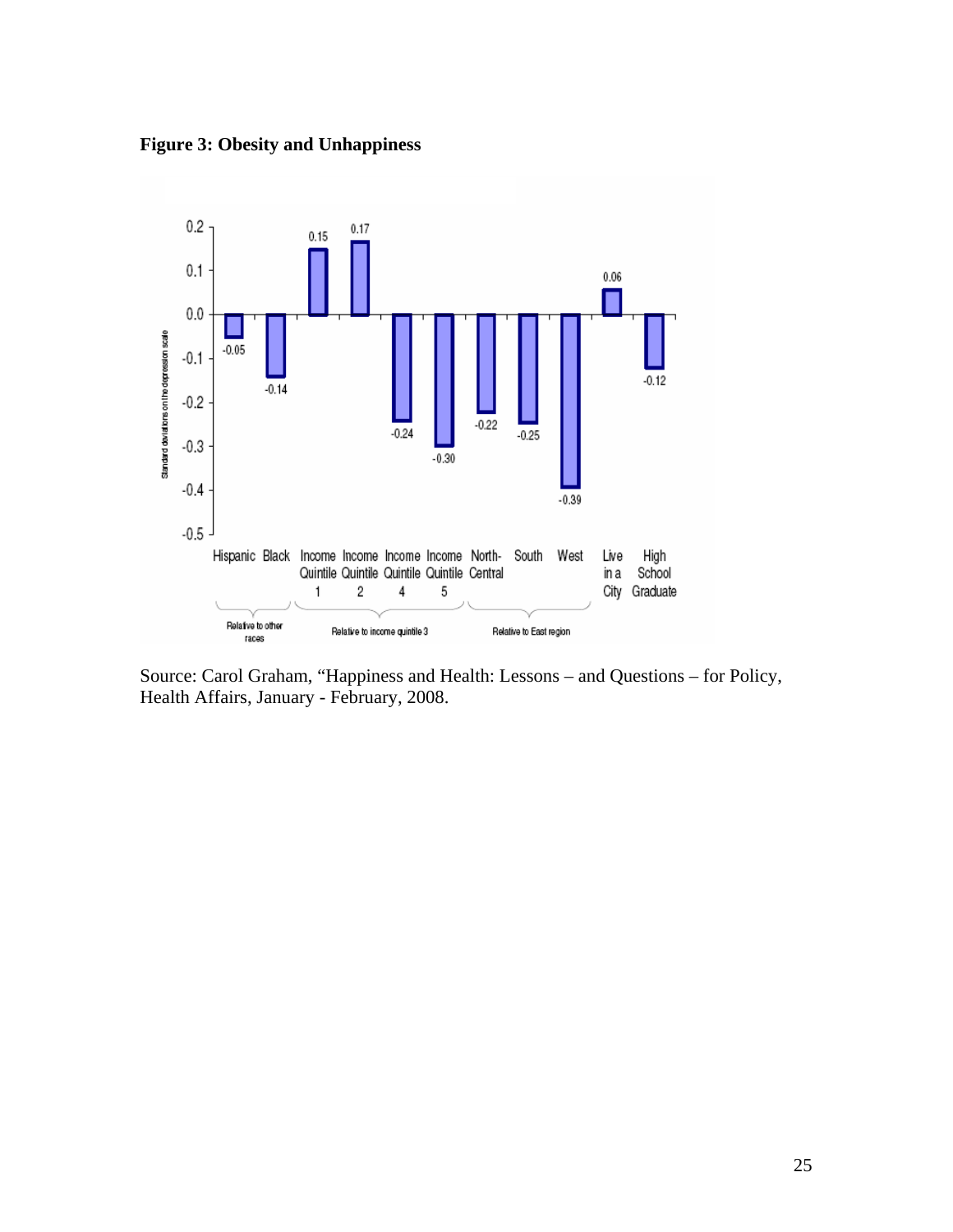**Figure 3: Obesity and Unhappiness** 



Source: Carol Graham, "Happiness and Health: Lessons – and Questions – for Policy, Health Affairs, January - February, 2008.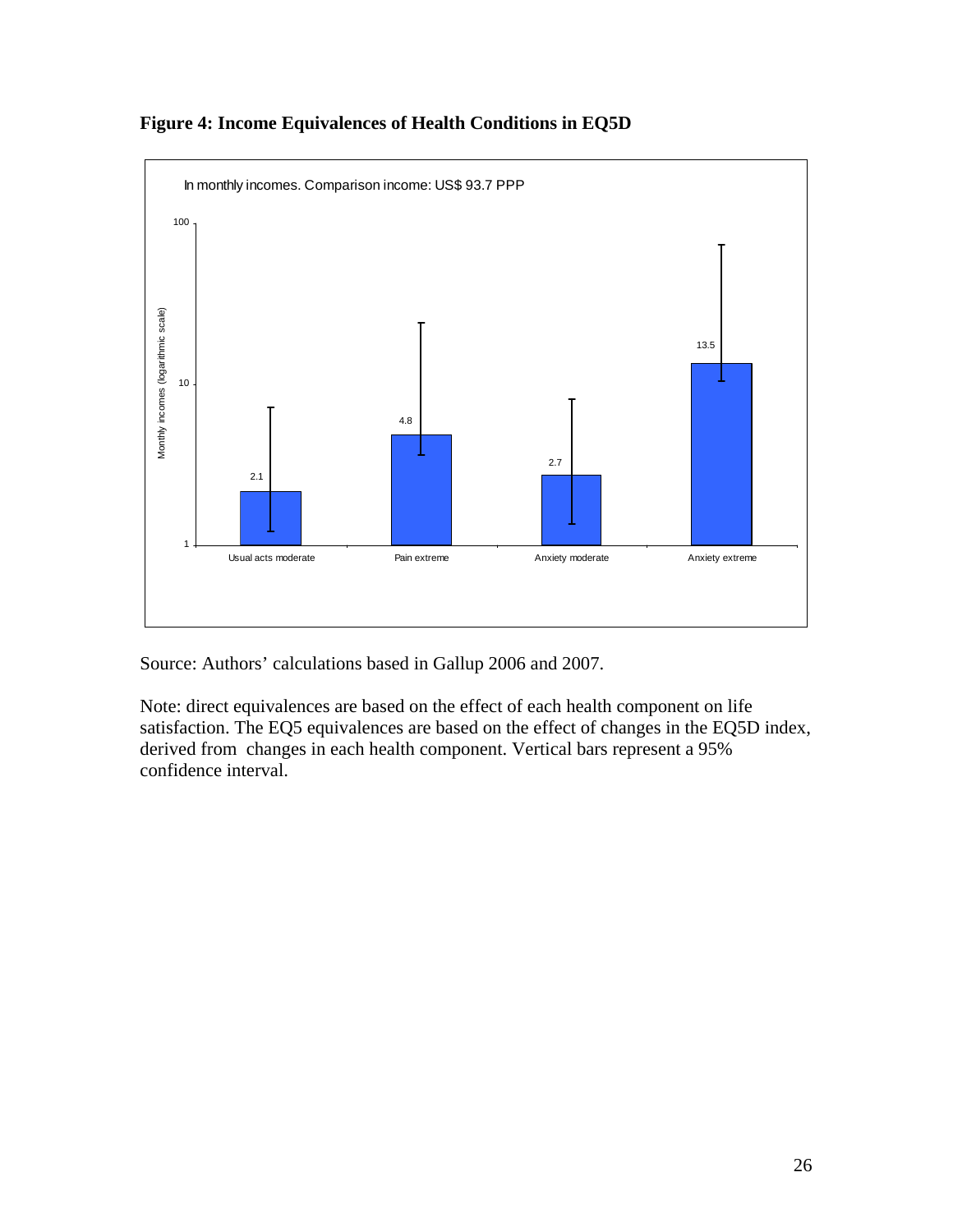

**Figure 4: Income Equivalences of Health Conditions in EQ5D** 

Source: Authors' calculations based in Gallup 2006 and 2007.

Note: direct equivalences are based on the effect of each health component on life satisfaction. The EQ5 equivalences are based on the effect of changes in the EQ5D index, derived from changes in each health component. Vertical bars represent a 95% confidence interval.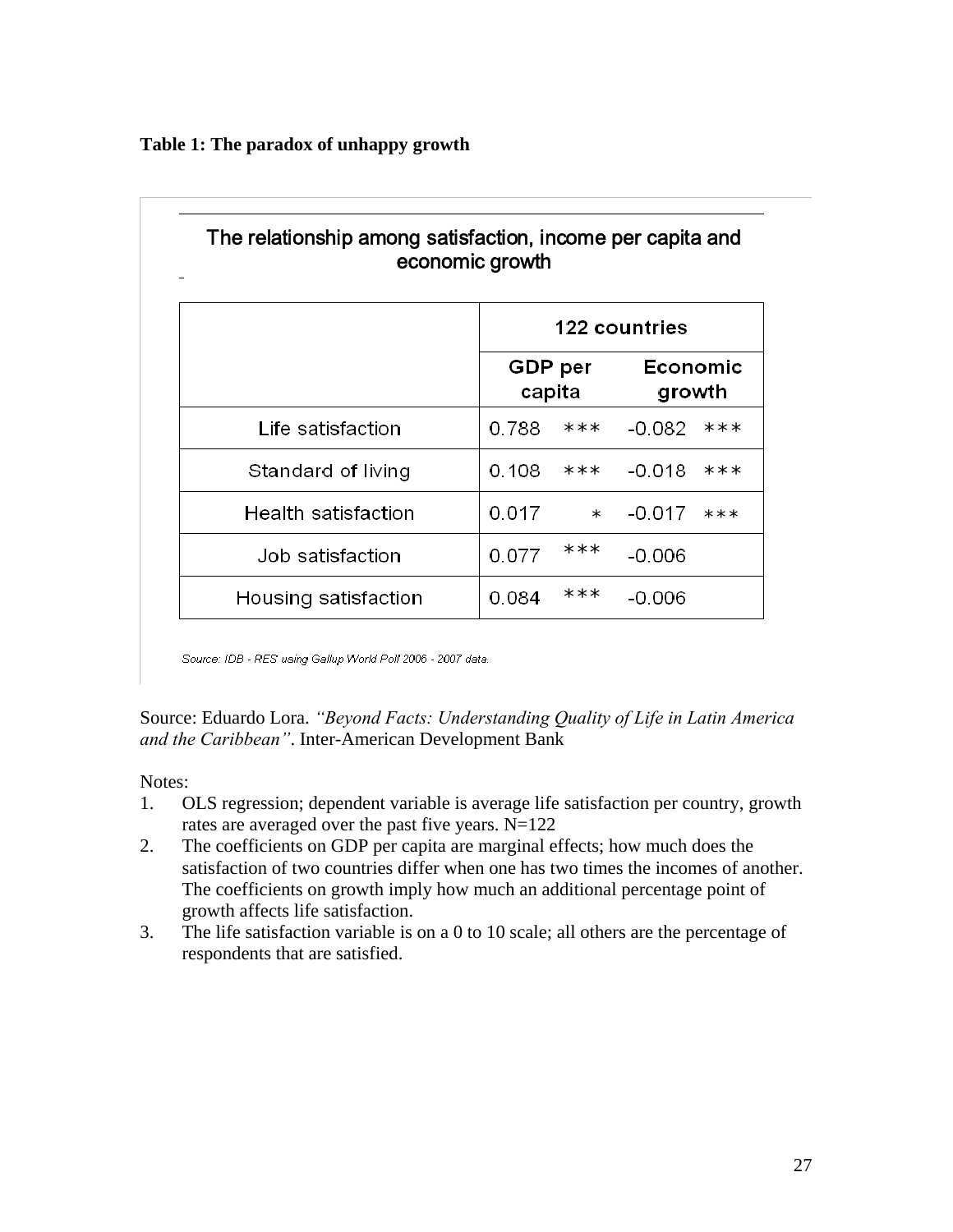|  |  | Table 1: The paradox of unhappy growth |  |
|--|--|----------------------------------------|--|
|  |  |                                        |  |

| The relationship among satisfaction, income per capita and<br>economic growth |                      |                   |          |                    |  |
|-------------------------------------------------------------------------------|----------------------|-------------------|----------|--------------------|--|
|                                                                               | <b>122 countries</b> |                   |          |                    |  |
|                                                                               |                      | GDP per<br>capita |          | Economic<br>growth |  |
| Life satisfaction                                                             | 0.788                | * * *             | $-0.082$ | * * *              |  |
| Standard of living                                                            | 0.108                | * * *             | -0.018   | $***$              |  |
| Health satisfaction                                                           | 0.017                | $\star$           | $-0.017$ | $***$              |  |
| Job satisfaction                                                              | 0.077                | * * *             | -0.006   |                    |  |
| Housing satisfaction                                                          | 0.084                | * * *             | -0.006   |                    |  |

Source: IDB - RES using Gallup World Poll 2006 - 2007 data.

Source: Eduardo Lora. *"Beyond Facts: Understanding Quality of Life in Latin America and the Caribbean"*. Inter-American Development Bank

Notes:

- 1. OLS regression; dependent variable is average life satisfaction per country, growth rates are averaged over the past five years. N=122
- 2. The coefficients on GDP per capita are marginal effects; how much does the satisfaction of two countries differ when one has two times the incomes of another. The coefficients on growth imply how much an additional percentage point of growth affects life satisfaction.
- 3. The life satisfaction variable is on a 0 to 10 scale; all others are the percentage of respondents that are satisfied.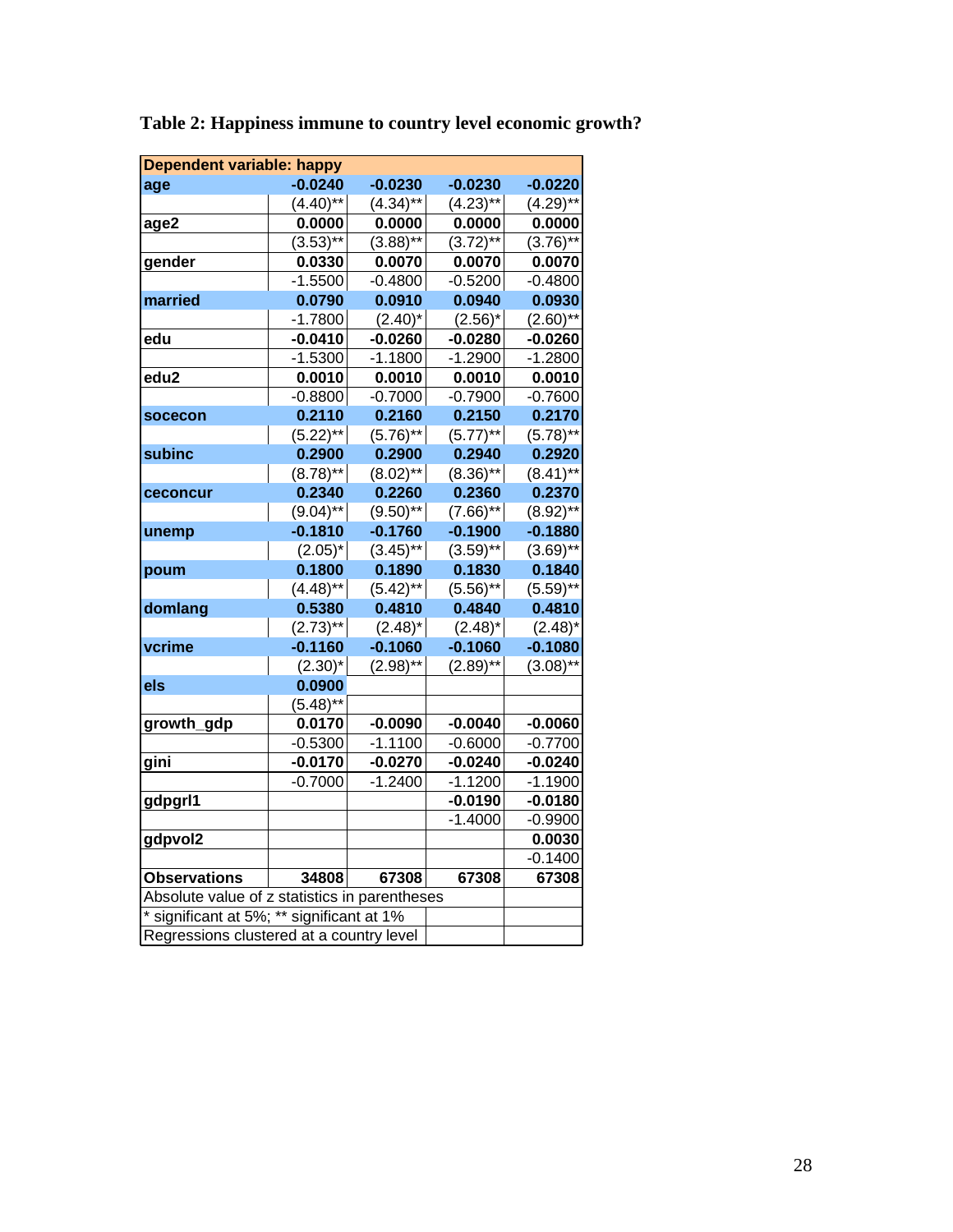| <b>Dependent variable: happy</b>              |              |             |             |             |
|-----------------------------------------------|--------------|-------------|-------------|-------------|
| age                                           | $-0.0240$    | $-0.0230$   | $-0.0230$   | $-0.0220$   |
|                                               | $(4.40)$ **  | $(4.34)$ ** | $(4.23)$ ** | $(4.29)$ ** |
| age2                                          | 0.0000       | 0.0000      | 0.0000      | 0.0000      |
|                                               | $(3.53)$ **  | $(3.88)$ ** | $(3.72)$ ** | $(3.76)$ ** |
| gender                                        | 0.0330       | 0.0070      | 0.0070      | 0.0070      |
|                                               | $-1.5500$    | $-0.4800$   | $-0.5200$   | $-0.4800$   |
| married                                       | 0.0790       | 0.0910      | 0.0940      | 0.0930      |
|                                               | $-1.7800$    | $(2.40)^*$  | $(2.56)^*$  | $(2.60)$ ** |
| edu                                           | $-0.0410$    | $-0.0260$   | $-0.0280$   | $-0.0260$   |
|                                               | $-1.5300$    | $-1.1800$   | $-1.2900$   | $-1.2800$   |
| edu2                                          | 0.0010       | 0.0010      | 0.0010      | 0.0010      |
|                                               | $-0.8800$    | $-0.7000$   | $-0.7900$   | $-0.7600$   |
| socecon                                       | 0.2110       | 0.2160      | 0.2150      | 0.2170      |
|                                               | $(5.22)$ **  | $(5.76)$ ** | $(5.77)$ ** | $(5.78)$ ** |
| subinc                                        | 0.2900       | 0.2900      | 0.2940      | 0.2920      |
|                                               | $(8.78)$ **  | $(8.02)$ ** | $(8.36)$ ** | $(8.41)$ ** |
| ceconcur                                      | 0.2340       | 0.2260      | 0.2360      | 0.2370      |
|                                               | $(9.04)$ **  | $(9.50)$ ** | $(7.66)$ ** | $(8.92)$ ** |
| unemp                                         | $-0.1810$    | $-0.1760$   | $-0.1900$   | $-0.1880$   |
|                                               | $(2.05)^{*}$ | $(3.45)$ ** | $(3.59)$ ** | $(3.69)$ ** |
| poum                                          | 0.1800       | 0.1890      | 0.1830      | 0.1840      |
|                                               | $(4.48)$ **  | $(5.42)$ ** | $(5.56)$ ** | $(5.59)$ ** |
| domlang                                       | 0.5380       | 0.4810      | 0.4840      | 0.4810      |
|                                               | $(2.73)$ **  | $(2.48)^*$  | $(2.48)^*$  | $(2.48)^*$  |
| vcrime                                        | $-0.1160$    | $-0.1060$   | $-0.1060$   | $-0.1080$   |
|                                               | $(2.30)^*$   | $(2.98)$ ** | $(2.89)$ ** | $(3.08)$ ** |
| els                                           | 0.0900       |             |             |             |
|                                               | $(5.48)$ **  |             |             |             |
| growth_gdp                                    | 0.0170       | $-0.0090$   | $-0.0040$   | $-0.0060$   |
|                                               | $-0.5300$    | $-1.1100$   | $-0.6000$   | $-0.7700$   |
| gini                                          | $-0.0170$    | $-0.0270$   | $-0.0240$   | $-0.0240$   |
|                                               | $-0.7000$    | $-1.2400$   | $-1.1200$   | $-1.1900$   |
| gdpgrl1                                       |              |             | $-0.0190$   | $-0.0180$   |
|                                               |              |             | $-1.4000$   | $-0.9900$   |
| gdpvol2                                       |              |             |             | 0.0030      |
|                                               |              |             |             | $-0.1400$   |
| <b>Observations</b>                           | 34808        | 67308       | 67308       | 67308       |
| Absolute value of z statistics in parentheses |              |             |             |             |
| * significant at 5%; ** significant at 1%     |              |             |             |             |
| Regressions clustered at a country level      |              |             |             |             |

**Table 2: Happiness immune to country level economic growth?**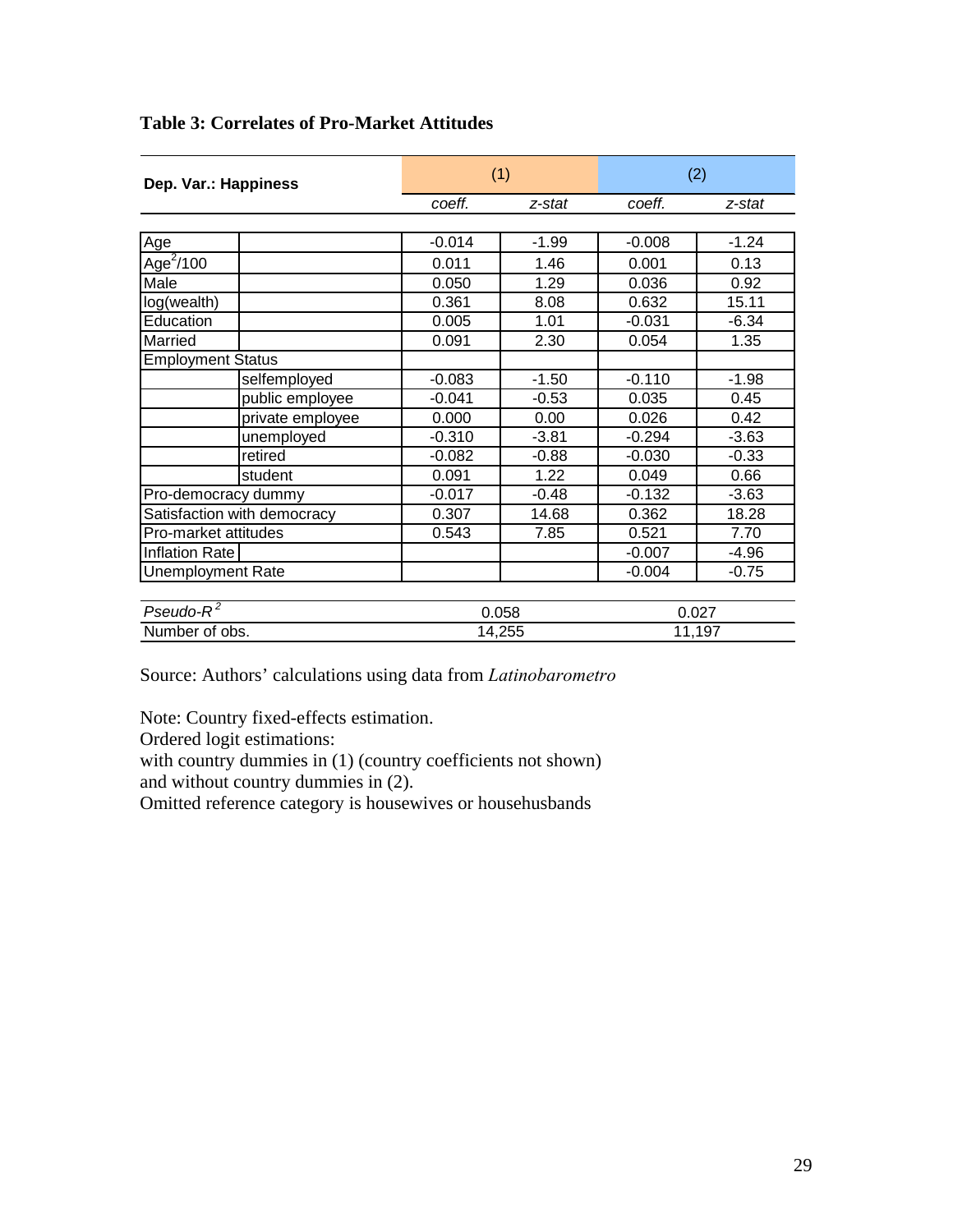| Dep. Var.: Happiness     |                             |          | (1)     | (2)      |         |  |
|--------------------------|-----------------------------|----------|---------|----------|---------|--|
|                          |                             | coeff.   | z-stat  | coeff.   | z-stat  |  |
|                          |                             |          |         |          |         |  |
| Age                      |                             | $-0.014$ | $-1.99$ | $-0.008$ | $-1.24$ |  |
| Age <sup>2</sup> /100    |                             | 0.011    | 1.46    | 0.001    | 0.13    |  |
| Male                     |                             | 0.050    | 1.29    | 0.036    | 0.92    |  |
| log(wealth)              |                             | 0.361    | 8.08    | 0.632    | 15.11   |  |
| Education                |                             | 0.005    | 1.01    | $-0.031$ | $-6.34$ |  |
| Married                  |                             | 0.091    | 2.30    | 0.054    | 1.35    |  |
| <b>Employment Status</b> |                             |          |         |          |         |  |
|                          | selfemployed                | $-0.083$ | $-1.50$ | $-0.110$ | $-1.98$ |  |
|                          | public employee             | $-0.041$ | $-0.53$ | 0.035    | 0.45    |  |
|                          | private employee            | 0.000    | 0.00    | 0.026    | 0.42    |  |
|                          | unemployed                  | $-0.310$ | $-3.81$ | $-0.294$ | $-3.63$ |  |
|                          | retired                     | $-0.082$ | $-0.88$ | $-0.030$ | $-0.33$ |  |
|                          | student                     | 0.091    | 1.22    | 0.049    | 0.66    |  |
| Pro-democracy dummy      |                             | $-0.017$ | $-0.48$ | $-0.132$ | $-3.63$ |  |
|                          | Satisfaction with democracy | 0.307    | 14.68   | 0.362    | 18.28   |  |
| Pro-market attitudes     |                             | 0.543    | 7.85    | 0.521    | 7.70    |  |
| <b>Inflation Rate</b>    |                             |          |         | $-0.007$ | $-4.96$ |  |
| Unemployment Rate        |                             |          |         | $-0.004$ | $-0.75$ |  |
|                          |                             |          |         |          |         |  |
| Pseudo- $R^2$            |                             |          | 0.058   | 0.027    |         |  |
| Number of obs.           |                             |          | 14,255  | 11,197   |         |  |

# **Table 3: Correlates of Pro-Market Attitudes**

Source: Authors' calculations using data from *Latinobarometro*

Note: Country fixed-effects estimation.

Ordered logit estimations:

with country dummies in (1) (country coefficients not shown)

and without country dummies in (2).

Omitted reference category is housewives or househusbands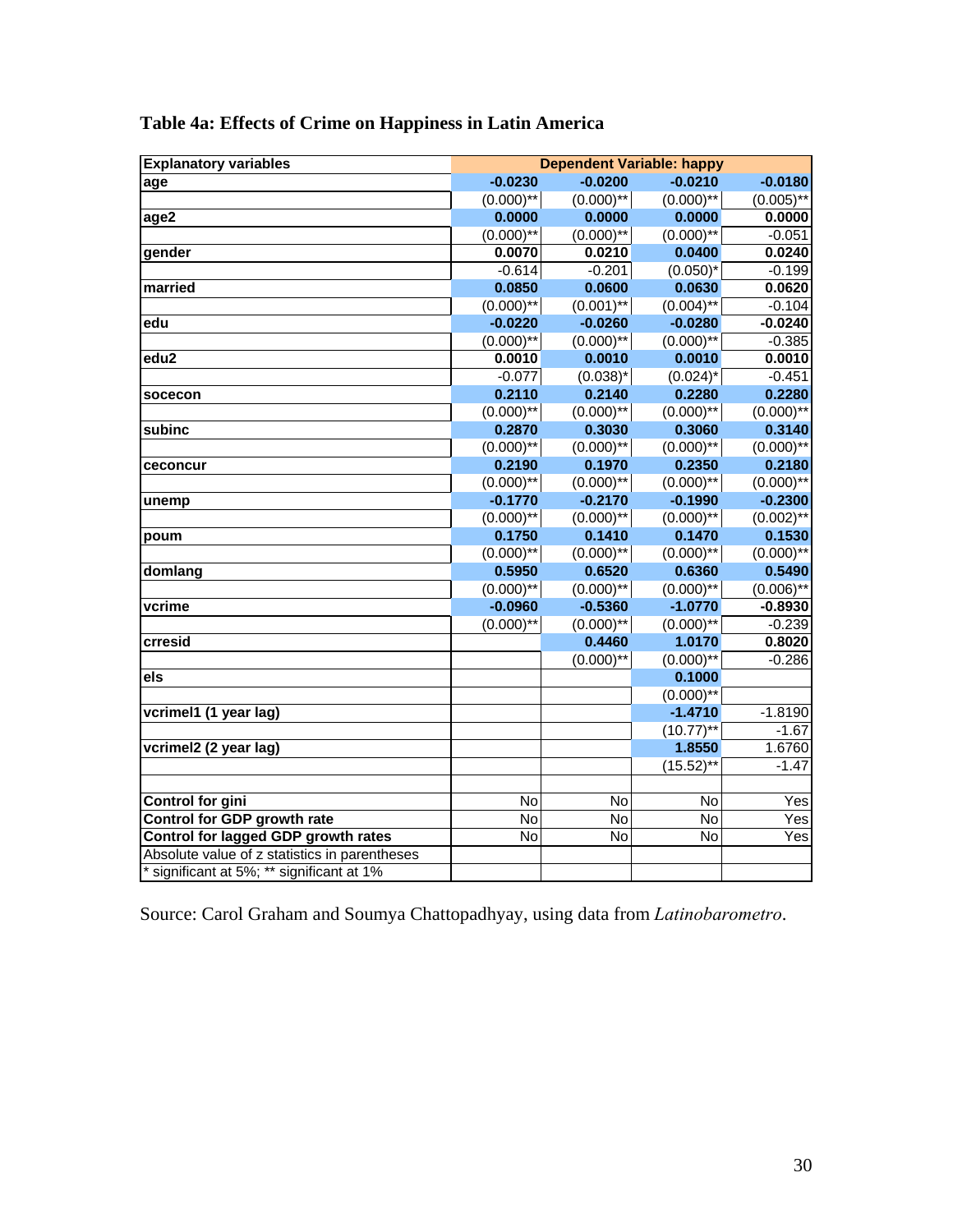| <b>Explanatory variables</b>                  | <b>Dependent Variable: happy</b> |              |              |              |  |  |  |
|-----------------------------------------------|----------------------------------|--------------|--------------|--------------|--|--|--|
| age                                           | $-0.0230$                        | $-0.0200$    | $-0.0210$    | $-0.0180$    |  |  |  |
|                                               | $(0.000)$ **                     | $(0.000)$ ** | $(0.000)$ ** | $(0.005)$ ** |  |  |  |
| age2                                          | 0.0000                           | 0.0000       | 0.0000       | 0.0000       |  |  |  |
|                                               | $(0.000)$ **                     | $(0.000)$ ** | $(0.000)$ ** | $-0.051$     |  |  |  |
| gender                                        | 0.0070                           | 0.0210       | 0.0400       | 0.0240       |  |  |  |
|                                               | $-0.614$                         | $-0.201$     | $(0.050)^*$  | $-0.199$     |  |  |  |
| married                                       | 0.0850                           | 0.0600       | 0.0630       | 0.0620       |  |  |  |
|                                               | $(0.000)$ **                     | $(0.001)$ ** | $(0.004)$ ** | $-0.104$     |  |  |  |
| edu                                           | $-0.0220$                        | $-0.0260$    | $-0.0280$    | $-0.0240$    |  |  |  |
|                                               | $(0.000)$ **                     | $(0.000)$ ** | $(0.000)$ ** | $-0.385$     |  |  |  |
| edu2                                          | 0.0010                           | 0.0010       | 0.0010       | 0.0010       |  |  |  |
|                                               | $-0.077$                         | $(0.038)^*$  | $(0.024)^*$  | $-0.451$     |  |  |  |
| socecon                                       | 0.2110                           | 0.2140       | 0.2280       | 0.2280       |  |  |  |
|                                               | $(0.000)$ **                     | $(0.000)$ ** | $(0.000)$ ** | $(0.000)$ ** |  |  |  |
| subinc                                        | 0.2870                           | 0.3030       | 0.3060       | 0.3140       |  |  |  |
|                                               | $(0.000)$ **                     | $(0.000)$ ** | $(0.000)$ ** | $(0.000)$ ** |  |  |  |
| ceconcur                                      | 0.2190                           | 0.1970       | 0.2350       | 0.2180       |  |  |  |
|                                               | $(0.000)$ **                     | $(0.000)$ ** | $(0.000)$ ** | $(0.000)$ ** |  |  |  |
| unemp                                         | $-0.1770$                        | $-0.2170$    | $-0.1990$    | $-0.2300$    |  |  |  |
|                                               | $(0.000)$ **                     | $(0.000)**$  | $(0.000)$ ** | $(0.002)$ ** |  |  |  |
| poum                                          | 0.1750                           | 0.1410       | 0.1470       | 0.1530       |  |  |  |
|                                               | $(0.000)$ **                     | $(0.000)$ ** | $(0.000)$ ** | $(0.000)$ ** |  |  |  |
| domlang                                       | 0.5950                           | 0.6520       | 0.6360       | 0.5490       |  |  |  |
|                                               | $(0.000)$ **                     | $(0.000)$ ** | $(0.000)$ ** | $(0.006)$ ** |  |  |  |
| vcrime                                        | $-0.0960$                        | $-0.5360$    | $-1.0770$    | $-0.8930$    |  |  |  |
|                                               | $(0.000)$ **                     | $(0.000)$ ** | $(0.000)$ ** | $-0.239$     |  |  |  |
| crresid                                       |                                  | 0.4460       | 1.0170       | 0.8020       |  |  |  |
|                                               |                                  | $(0.000)$ ** | $(0.000)$ ** | $-0.286$     |  |  |  |
| els                                           |                                  |              | 0.1000       |              |  |  |  |
|                                               |                                  |              | $(0.000)$ ** |              |  |  |  |
| vcrimel1 (1 year lag)                         |                                  |              | $-1.4710$    | $-1.8190$    |  |  |  |
|                                               |                                  |              | $(10.77)$ ** | $-1.67$      |  |  |  |
| vcrimel2 (2 year lag)                         |                                  |              | 1.8550       | 1.6760       |  |  |  |
|                                               |                                  |              | $(15.52)$ ** | $-1.47$      |  |  |  |
|                                               |                                  |              |              |              |  |  |  |
| <b>Control for gini</b>                       | No                               | No           | No           | Yes          |  |  |  |
| Control for GDP growth rate                   | No                               | No           | No           | Yes          |  |  |  |
| Control for lagged GDP growth rates           | <b>No</b>                        | <b>No</b>    | <b>No</b>    | Yes          |  |  |  |
| Absolute value of z statistics in parentheses |                                  |              |              |              |  |  |  |
| significant at 5%; ** significant at 1%       |                                  |              |              |              |  |  |  |

# **Table 4a: Effects of Crime on Happiness in Latin America**

Source: Carol Graham and Soumya Chattopadhyay, using data from *Latinobarometro*.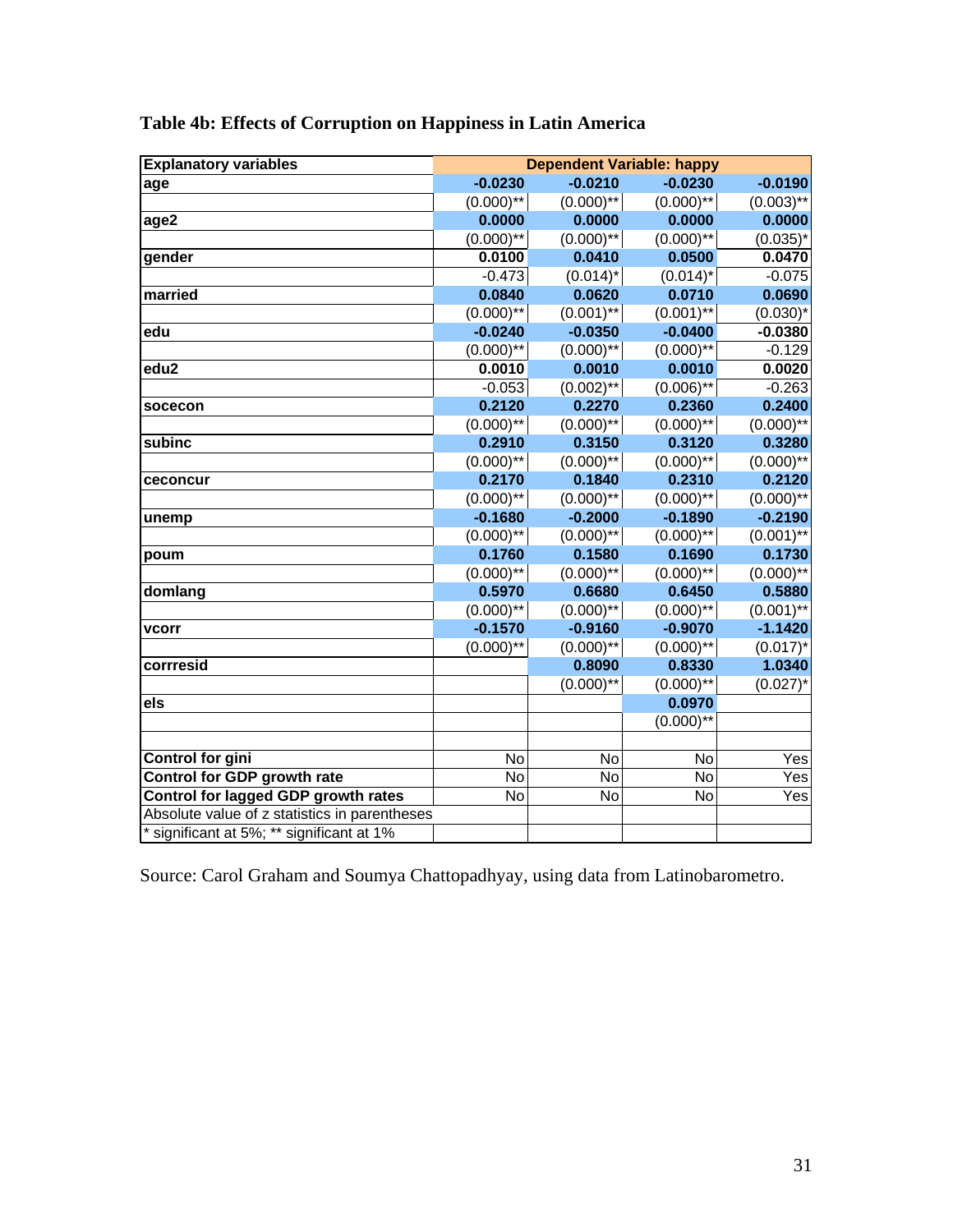| <b>Explanatory variables</b>                  | <b>Dependent Variable: happy</b> |              |              |              |  |  |
|-----------------------------------------------|----------------------------------|--------------|--------------|--------------|--|--|
| age                                           | $-0.0230$                        | $-0.0210$    | $-0.0230$    | $-0.0190$    |  |  |
|                                               | $(0.000)$ **                     | $(0.000)$ ** | $(0.000)$ ** | $(0.003)$ ** |  |  |
| age2                                          | 0.0000                           | 0.0000       | 0.0000       | 0.0000       |  |  |
|                                               | $(0.000)$ **                     | $(0.000)$ ** | $(0.000)$ ** | $(0.035)^*$  |  |  |
| gender                                        | 0.0100                           | 0.0410       | 0.0500       | 0.0470       |  |  |
|                                               | $-0.473$                         | $(0.014)^*$  | $(0.014)^*$  | $-0.075$     |  |  |
| married                                       | 0.0840                           | 0.0620       | 0.0710       | 0.0690       |  |  |
|                                               | $(0.000)$ **                     | $(0.001)$ ** | $(0.001)$ ** | $(0.030)^*$  |  |  |
| edu                                           | $-0.0240$                        | $-0.0350$    | $-0.0400$    | $-0.0380$    |  |  |
|                                               | $(0.000)$ **                     | $(0.000)$ ** | $(0.000)$ ** | $-0.129$     |  |  |
| edu2                                          | 0.0010                           | 0.0010       | 0.0010       | 0.0020       |  |  |
|                                               | $-0.053$                         | $(0.002)$ ** | $(0.006)$ ** | $-0.263$     |  |  |
| socecon                                       | 0.2120                           | 0.2270       | 0.2360       | 0.2400       |  |  |
|                                               | $(0.000)$ **                     | $(0.000)**$  | $(0.000)$ ** | $(0.000)$ ** |  |  |
| subinc                                        | 0.2910                           | 0.3150       | 0.3120       | 0.3280       |  |  |
|                                               | $(0.000)$ **                     | $(0.000)*$   | $(0.000)$ ** | $(0.000)$ ** |  |  |
| ceconcur                                      | 0.2170                           | 0.1840       | 0.2310       | 0.2120       |  |  |
|                                               | $(0.000)$ **                     | $(0.000)$ ** | $(0.000)$ ** | $(0.000)$ ** |  |  |
| unemp                                         | $-0.1680$                        | $-0.2000$    | $-0.1890$    | $-0.2190$    |  |  |
|                                               | $(0.000)$ **                     | $(0.000)$ ** | $(0.000)$ ** | $(0.001)$ ** |  |  |
| poum                                          | 0.1760                           | 0.1580       | 0.1690       | 0.1730       |  |  |
|                                               | $(0.000)$ **                     | $(0.000)**$  | $(0.000)$ ** | $(0.000)$ ** |  |  |
| domlang                                       | 0.5970                           | 0.6680       | 0.6450       | 0.5880       |  |  |
|                                               | $(0.000)$ **                     | $(0.000)$ ** | $(0.000)$ ** | $(0.001)$ ** |  |  |
| vcorr                                         | $-0.1570$                        | $-0.9160$    | $-0.9070$    | $-1.1420$    |  |  |
|                                               | $(0.000)$ **                     | $(0.000)*$   | $(0.000)**$  | $(0.017)^*$  |  |  |
| corrresid                                     |                                  | 0.8090       | 0.8330       | 1.0340       |  |  |
|                                               |                                  | $(0.000)$ ** | $(0.000)$ ** | $(0.027)^*$  |  |  |
| els                                           |                                  |              | 0.0970       |              |  |  |
|                                               |                                  |              | $(0.000)$ ** |              |  |  |
|                                               |                                  |              |              |              |  |  |
| Control for gini                              | <b>No</b>                        | No           | No           | Yes          |  |  |
| Control for GDP growth rate                   | <b>No</b>                        | No           | <b>No</b>    | Yes          |  |  |
| Control for lagged GDP growth rates           | <b>No</b>                        | No           | <b>No</b>    | Yes          |  |  |
| Absolute value of z statistics in parentheses |                                  |              |              |              |  |  |
| significant at 5%; ** significant at 1%       |                                  |              |              |              |  |  |

# **Table 4b: Effects of Corruption on Happiness in Latin America**

Source: Carol Graham and Soumya Chattopadhyay, using data from Latinobarometro.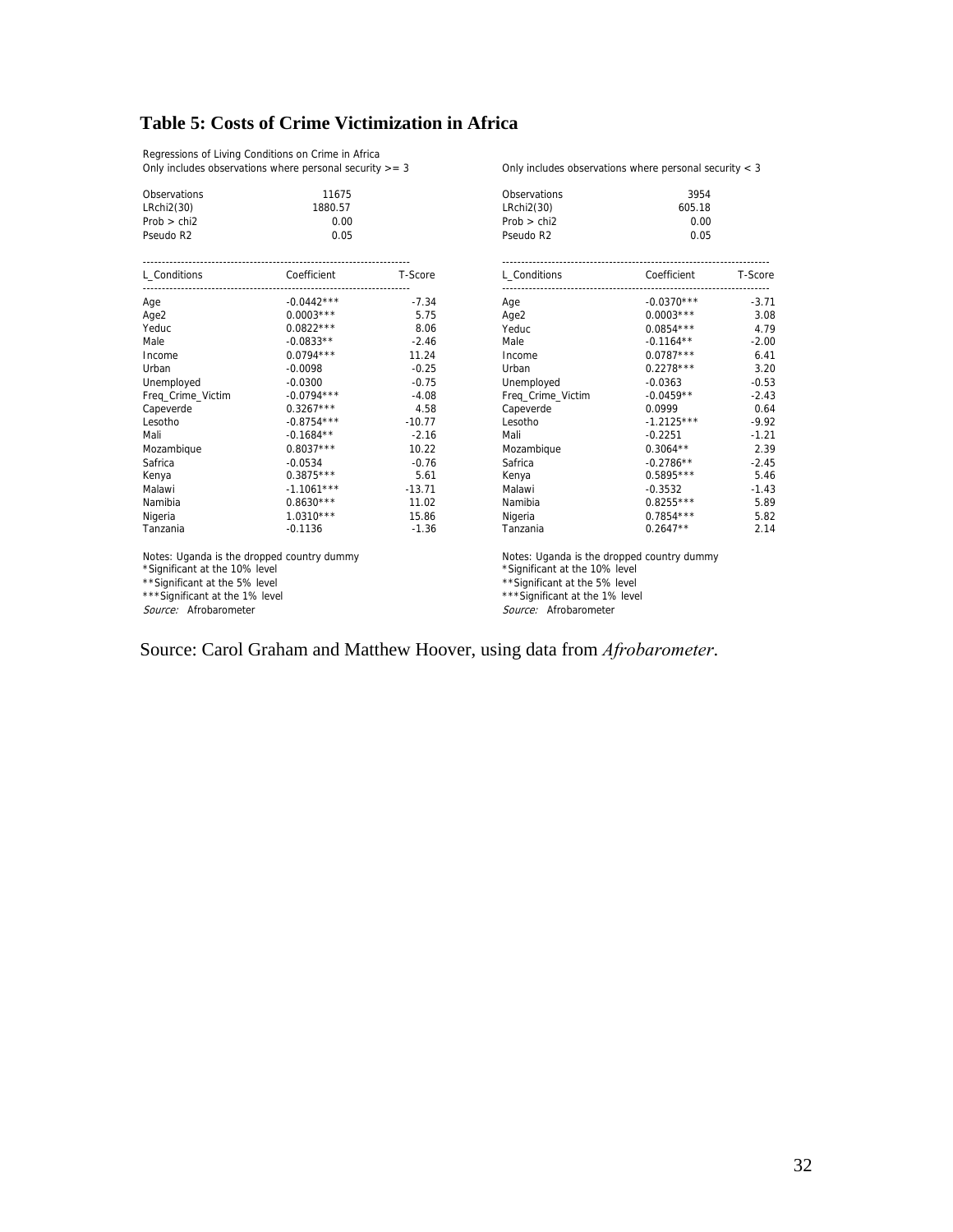# **Table 5: Costs of Crime Victimization in Africa**

Regressions of Living Conditions on Crime in Africa Only includes observations where personal security >= 3 Only includes observations where personal security < 3

| Observations | 11675   | Observations | 3954   |
|--------------|---------|--------------|--------|
| LRchi2(30)   | 1880.57 | LRchi2(30)   | 605.18 |
| Prob > chi2  | 0.00    | Prob > chi2  | 0.00   |
| Pseudo R2    | 0.05    | Pseudo R2    | 0.05   |

| L Conditions      | Coefficient  | T-Score  | L Conditions      | Coefficient  | T-Score |
|-------------------|--------------|----------|-------------------|--------------|---------|
| Age               | $-0.0442***$ | $-7.34$  | Age               | $-0.0370***$ | $-3.71$ |
| Age2              | $0.0003***$  | 5.75     | Age2              | $0.0003***$  | 3.08    |
| Yeduc             | $0.0822***$  | 8.06     | Yeduc             | $0.0854***$  | 4.79    |
| Male              | $-0.0833**$  | $-2.46$  | Male              | $-0.1164**$  | $-2.00$ |
| Income            | $0.0794***$  | 11.24    | Income            | $0.0787***$  | 6.41    |
| Urban             | $-0.0098$    | $-0.25$  | Urban             | $0.2278***$  | 3.20    |
| Unemployed        | $-0.0300$    | $-0.75$  | Unemployed        | $-0.0363$    | $-0.53$ |
| Freq Crime Victim | $-0.0794***$ | $-4.08$  | Freq_Crime_Victim | $-0.0459**$  | $-2.43$ |
| Capeverde         | $0.3267***$  | 4.58     | Capeverde         | 0.0999       | 0.64    |
| Lesotho           | $-0.8754***$ | $-10.77$ | Lesotho           | $-1.2125***$ | -9.92   |
| Mali              | $-0.1684**$  | $-2.16$  | Mali              | $-0.2251$    | $-1.21$ |
| Mozambique        | $0.8037***$  | 10.22    | Mozambique        | $0.3064**$   | 2.39    |
| Safrica           | $-0.0534$    | $-0.76$  | Safrica           | $-0.2786**$  | $-2.45$ |
| Kenya             | $0.3875***$  | 5.61     | Kenya             | $0.5895***$  | 5.46    |
| Malawi            | $-1.1061***$ | $-13.71$ | Malawi            | $-0.3532$    | $-1.43$ |
| Namibia           | $0.8630***$  | 11.02    | Namibia           | $0.8255***$  | 5.89    |
| Nigeria           | $1.0310***$  | 15.86    | Nigeria           | $0.7854***$  | 5.82    |
| Tanzania          | $-0.1136$    | $-1.36$  | Tanzania          | $0.2647**$   | 2.14    |

| `ource | Afrobarometer |  |
|--------|---------------|--|

| L Conditions      | Coefficient  | T-Score  | L Conditions      | Coefficient  | T-Score |
|-------------------|--------------|----------|-------------------|--------------|---------|
| Age               | $-0.0442***$ | $-7.34$  | Age               | $-0.0370***$ | $-3.71$ |
| Age2              | $0.0003***$  | 5.75     | Age2              | $0.0003***$  | 3.08    |
| Yeduc             | $0.0822***$  | 8.06     | Yeduc             | $0.0854***$  | 4.79    |
| Male              | $-0.0833**$  | $-2.46$  | Male              | $-0.1164**$  | $-2.00$ |
| Income            | $0.0794***$  | 11.24    | Income            | $0.0787***$  | 6.41    |
| Urban             | $-0.0098$    | $-0.25$  | Urban             | $0.2278***$  | 3.20    |
| Unemployed        | $-0.0300$    | $-0.75$  | Unemployed        | $-0.0363$    | $-0.53$ |
| Freg Crime Victim | $-0.0794***$ | $-4.08$  | Freq Crime Victim | $-0.0459**$  | $-2.43$ |
| Capeverde         | $0.3267***$  | 4.58     | Capeverde         | 0.0999       | 0.64    |
| Lesotho           | $-0.8754***$ | $-10.77$ | Lesotho           | $-1.2125***$ | $-9.92$ |
| Mali              | $-0.1684**$  | $-2.16$  | Mali              | $-0.2251$    | $-1.21$ |
| Mozambique        | $0.8037***$  | 10.22    | Mozambique        | $0.3064**$   | 2.39    |
| Safrica           | $-0.0534$    | $-0.76$  | Safrica           | $-0.2786**$  | $-2.45$ |
| Kenya             | $0.3875***$  | 5.61     | Kenya             | $0.5895***$  | 5.46    |
| Malawi            | $-1.1061***$ | $-13.71$ | Malawi            | $-0.3532$    | $-1.43$ |
| Namibia           | $0.8630***$  | 11.02    | Namibia           | $0.8255***$  | 5.89    |
| Nigeria           | $1.0310***$  | 15.86    | Nigeria           | $0.7854***$  | 5.82    |

Notes: Uganda is the dropped country dummy<br>\*Significant at the 10% level<br>\*\*Significant at the 5% level \*Significant at the 10% level \*Significant at the 10% level \*\*Significant at the 5% level \*\*Significant at the 5% level \*\*\*Significant at the 1% level by the theory of the 14 state of the 1% level and the 1% level Significant at the 3% level<br>
Source: Afrobarometer Significant at the 1% level<br>
Source: Afrobarometer Source: Afrobarometer

Source: Carol Graham and Matthew Hoover, using data from *Afrobarometer*.